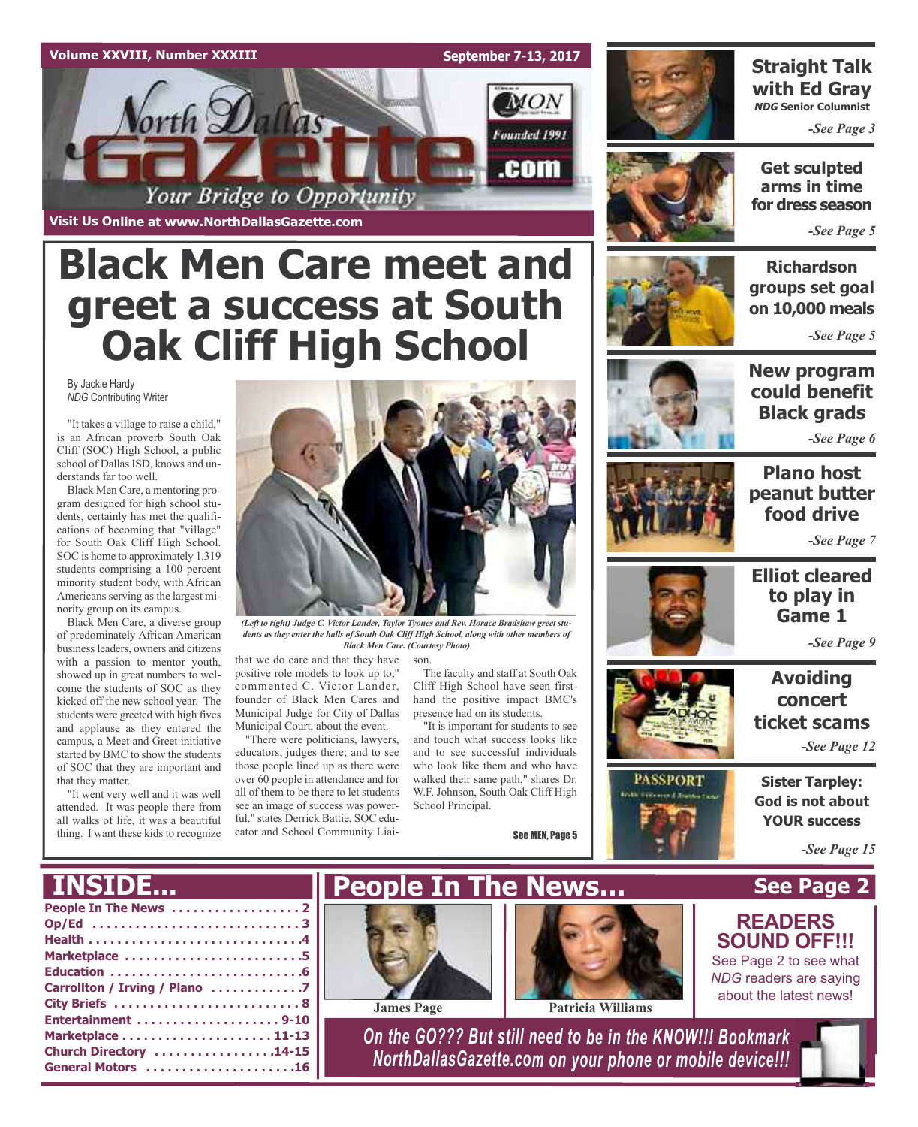#### **Volume XXVIII, Number XXXIII**

**Visit Us Online at www.NorthDallasGazette.com**

orth Dallas

**September 7-13, 2017**

 $MON$ 

Founded 1991

.com



#### **Straight Talk with Ed Gray NDG Senior Columnist**

*-See Page 3*

**Get sculpted arms in time for dress season**

*-See Page 5*

**Richardson groups set goal on 10,000 meals**

*-See Page 5*



**New program could benefit Black grads**

*-See Page 6*

**Plano host peanut butter food drive** *-See Page 7*

## **to play in Game 1** *-See Page 9*

**Elliot cleared**

## **Avoiding concert ticket scams**

*-See Page 12*

**Sister Tarpley: God is not about YOUR success**

*-See Page 15*

# **INSIDE...**

that they matter.

By Jackie Hardy *NDG* Contributing Writer

derstands far too well.

nority group on its campus.

"It takes a village to raise a child," is an African proverb South Oak Cliff (SOC) High School, a public school of Dallas ISD, knows and un-

Black Men Care, a mentoring program designed for high school students, certainly has met the qualifications of becoming that "village" for South Oak Cliff High School. SOC is home to approximately 1,319 students comprising a 100 percent minority student body, with African Americans serving as the largest mi-

Black Men Care, a diverse group of predominately African American businessleaders, owners and citizens with a passion to mentor youth, showed up in great numbers to welcome the students of SOC as they kicked off the new school year. The students were greeted with high fives and applause as they entered the campus, a Meet and Greet initiative started by BMC to show the students of SOC that they are important and

"It went very well and it was well attended. It was people there from all walks of life, it was a beautiful thing. I want these kids to recognize

| Op/Ed 3                       |
|-------------------------------|
|                               |
| Marketplace 5                 |
|                               |
| Carrollton / Irving / Plano 7 |
|                               |
| Entertainment 9-10            |
|                               |
| Church Directory 14-15        |
| General Motors 16             |



*(Left to right) Judge C. Victor Lander, Taylor Tyones and Rev. Horace Bradshaw greet students as they enter the halls of South Oak Cliff High School, along with other members of Black Men Care. (Courtesy Photo)*

that we do care and that they have positive role models to look up to," commented C. Victor Lander,

founder of Black Men Cares and Municipal Judge for City of Dallas Municipal Court, about the event. "There were politicians, lawyers,

**Black Men Care meet and**

Your Bridge to Opportunity

**greet a success at South**

**Oak Cliff High School**

educators, judges there; and to see those people lined up as there were over 60 people in attendance and for all of them to be there to let students see an image of success was powerful." states Derrick Battie, SOC educator and School Community Liaison.

The faculty and staff at South Oak Cliff High School have seen firsthand the positive impact BMC's presence had on its students.

"It is important for students to see and touch what success looks like and to see successful individuals who look like them and who have walked their same path," shares Dr. W.F. Johnson, South Oak Cliff High School Principal.

**James Page Patricia Williams**

See MEN, Page 5







*NDG* readers are saying about the latest news!

*On the GO??? But still need to be in the KNOW!!! Bookmark NorthDallasGazette.com on your phone or mobile device!!!*





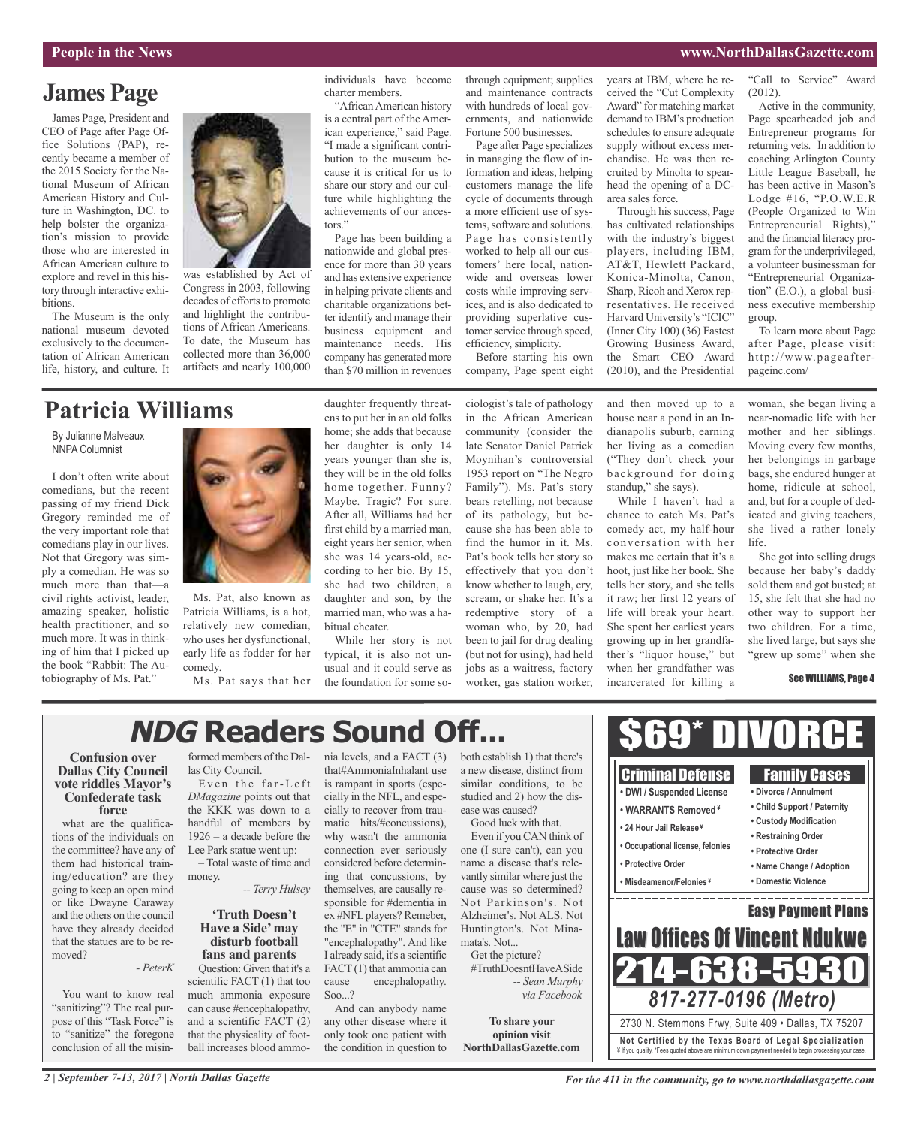#### **People in the News www.NorthDallasGazette.com**

## **James Page**

James Page, President and CEO of Page after Page Office Solutions (PAP), recently became a member of the 2015 Society for the National Museum of African American History and Culture in Washington, DC. to help bolster the organization's mission to provide those who are interested in African American culture to explore and revel in this history through interactive exhibitions.

The Museum is the only national museum devoted exclusively to the documentation of African American life, history, and culture. It



was established by Act of Congress in 2003, following decades of efforts to promote and highlight the contributions of African Americans. To date, the Museum has

collected more than 36,000 artifacts and nearly 100,000

#### individuals have become charter members.

"AfricanAmerican history is a central part of the American experience," said Page. "I made a significant contribution to the museum because it is critical for us to share our story and our culture while highlighting the achievements of our ancestors."

Page has been building a nationwide and global presence for more than 30 years and has extensive experience in helping private clients and charitable organizations better identify and manage their business equipment and maintenance needs. His company has generated more than \$70 million in revenues

through equipment; supplies and maintenance contracts with hundreds of local governments, and nationwide Fortune 500 businesses.

Page after Page specializes in managing the flow of information and ideas, helping customers manage the life cycle of documents through a more efficient use of systems, software and solutions. Page has consistently worked to help all our customers' here local, nationwide and overseas lower costs while improving services, and is also dedicated to providing superlative customer service through speed, efficiency, simplicity.

Before starting his own company, Page spent eight

ciologist's tale of pathology

years at IBM, where he received the "Cut Complexity Award" for matching market demand to IBM's production schedules to ensure adequate supply without excess merchandise. He was then recruited by Minolta to spearhead the opening of a DCarea sales force.

Through his success, Page has cultivated relationships with the industry's biggest players, including IBM, AT&T, Hewlett Packard, Konica-Minolta, Canon, Sharp, Ricoh and Xerox representatives. He received Harvard University's "ICIC" (Inner City 100) (36) Fastest Growing Business Award, the Smart CEO Award (2010), and the Presidential

"Call to Service" Award (2012).

Active in the community, Page spearheaded job and Entrepreneur programs for returning vets. In addition to coaching Arlington County Little League Baseball, he has been active in Mason's Lodge #16, "P.O.W.E.R (People Organized to Win Entrepreneurial Rights)," and the financial literacy program for the underprivileged, a volunteer businessman for "Entrepreneurial Organization" (E.O.), a global business executive membership group.

To learn more about Page after Page, please visit: http://www.pageafterpageinc.com/

## **Patricia Williams**

By Julianne Malveaux NNPA Columnist

I don't often write about comedians, but the recent passing of my friend Dick Gregory reminded me of the very important role that comedians play in our lives. Not that Gregory was simply a comedian. He was so much more than that—a civil rights activist, leader, amazing speaker, holistic health practitioner, and so much more. It was in thinking of him that I picked up the book "Rabbit: The Autobiography of Ms. Pat."



Ms. Pat, also known as Patricia Williams, is a hot, relatively new comedian, who uses her dysfunctional, early life as fodder for her comedy.

daughter frequently threatens to put her in an old folks home; she adds that because her daughter is only 14 years younger than she is, they will be in the old folks home together. Funny? Maybe. Tragic? For sure. After all, Williams had her first child by a married man, eight years her senior, when she was 14 years-old, according to her bio. By 15, she had two children, a daughter and son, by the married man, who was a habitual cheater. While her story is not

#### Ms. Pat says that her the foundation for some sotypical, it is also not unusual and it could serve as

in the African American community (consider the late Senator Daniel Patrick Moynihan's controversial 1953 report on "The Negro Family"). Ms. Pat's story bears retelling, not because of its pathology, but because she has been able to find the humor in it. Ms. Pat's book tells her story so effectively that you don't know whether to laugh, cry, scream, or shake her. It's a redemptive story of a woman who, by 20, had been to jail for drug dealing (but not for using), had held jobs as a waitress, factory worker, gas station worker,

and then moved up to a house near a pond in an Indianapolis suburb, earning her living as a comedian ("They don't check your background for doing standup," she says).

While I haven't had a chance to catch Ms. Pat's comedy act, my half-hour conversation with her makes me certain that it's a hoot, just like her book. She tells her story, and she tells it raw; her first 12 years of life will break your heart. She spent her earliest years growing up in her grandfather's "liquor house," but when her grandfather was incarcerated for killing a

woman, she began living a near-nomadic life with her mother and her siblings. Moving every few months, her belongings in garbage bags, she endured hunger at home, ridicule at school, and, but for a couple of dedicated and giving teachers, she lived a rather lonely life.

She got into selling drugs because her baby's daddy sold them and got busted; at 15, she felt that she had no other way to support her two children. For a time, she lived large, but says she "grew up some" when she

#### See WILLIAMS, Page 4

# **NDG Readers Sound Off...**

#### **Confusion over Dallas City Council vote riddles Mayor's Confederate task force**

what are the qualifications of the individuals on the committee? have any of them had historical training/education? are they going to keep an open mind or like Dwayne Caraway and the others on the council have they already decided that the statues are to be removed?

*- PeterK*

You want to know real "sanitizing"? The real purpose of this "Task Force" is to "sanitize" the foregone conclusion of all the misinformed members of the Dallas City Council.

Even the far-Left *DMagazine* points out that the KKK was down to a handful of members by 1926 – a decade before the Lee Park statue went up:

– Total waste of time and money.

*-- Terry Hulsey*

#### **'Truth Doesn't Have a Side'may disturb football fans and parents**

Question: Given that it's a scientific FACT (1) that too much ammonia exposure can cause #encephalopathy, and a scientific FACT (2) that the physicality of football increases blood ammo-

that#AmmoniaInhalant use is rampant in sports (especially in the NFL, and especially to recover from traumatic hits/#concussions), why wasn't the ammonia connection ever seriously considered before determining that concussions, by themselves, are causally responsible for #dementia in ex #NFL players? Remeber, the "E" in "CTE" stands for "encephalopathy". And like I already said, it's a scientific FACT (1) that ammonia can cause encephalopathy. Soo...?

And can anybody name any other disease where it only took one patient with the condition in question to

nia levels, and a FACT (3) both establish 1) that there's a new disease, distinct from similar conditions, to be studied and 2) how the disease was caused? Good luck with that.

> Even if you CAN think of one (I sure can't), can you name a disease that's relevantly similar where just the cause was so determined? Not Parkinson's. Not Alzheimer's. Not ALS. Not Huntington's. Not Minamata's. Not...

Get the picture? #TruthDoesntHaveASide *-- Sean Murphy via Facebook*

**To share your opinion visit NorthDallasGazette.com**

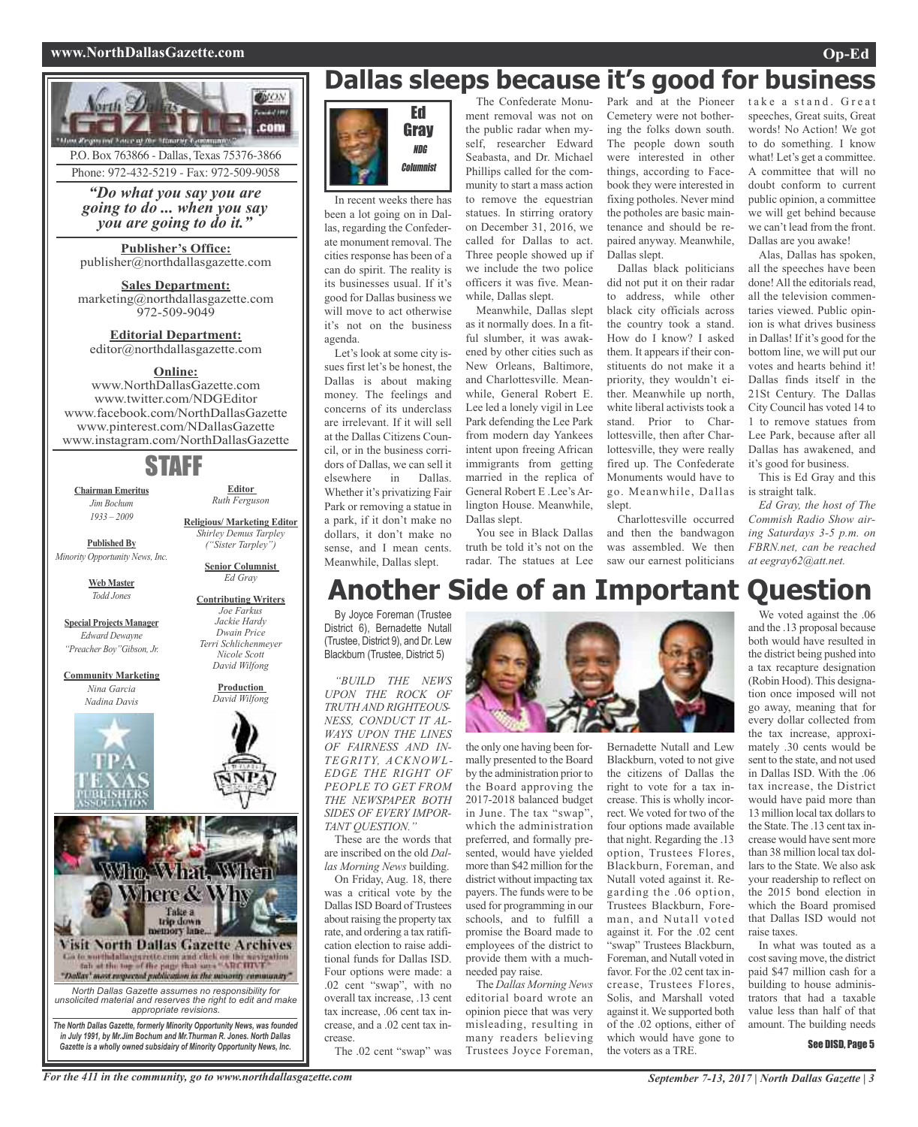#### **www.NorthDallasGazette.com Op-Ed**



P.O. Box 763866 - Dallas, Texas 75376-3866 Phone: 972-432-5219 - Fax: 972-509-9058

*"Do what you say you are going to do ... when you say you are going to do it."*

**Publisher's Office:** publisher@northdallasgazette.com

**Sales Department:** marketing@northdallasgazette.com 972-509-9049

**Editorial Department:** editor@northdallasgazette.com

#### **Online:**

www.NorthDallasGazette.com www.twitter.com/NDGEditor www.facebook.com/NorthDallasGazette www.pinterest.com/NDallasGazette www.instagram.com/NorthDallasGazette

## STAFF

**Chairman Emeritus** *Jim Bochum 1933 – 2009*

**Editor** *Ruth Ferguson*

**Published By** *Minority Opportunity News, Inc.*

> **Web Master** *Todd Jones*

**Special Projects Manager** *Edward Dewayne "Preacher Boy"Gibson, Jr.*

**Community Marketing** *Nina Garcia Nadina Davis*



*Terri Schlichenmeyer Nicole Scott David Wilfong* **Production** *David Wilfong*

**Religious/ Marketing Editor** *Shirley Demus Tarpley ("Sister Tarpley")* **Senior Columnist** *Ed Gray* **Contributing Writers** *Joe Farkus Jackie Hardy Dwain Price*

Wim, What, Wilen Mhere & Why Take a<br>trip down ory lane **Visit North Dallas Gazette Archives** Go to worth dalloogarette cam and click on the westpation<br>fab at the top of the page that same "ARCHIVE"<br>"Dallay" meet respected publication in the minority community"

*North Dallas Gazette assumes no responsibility for unsolicited material and reserves the right to edit and make appropriate revisions. The North Dallas Gazette, formerly Minority Opportunity News, was founded*

*in July 1991, by Mr.Jim Bochum and Mr.Thurman R. Jones. North Dallas Gazette is a wholly owned subsidairy of Minority Opportunity News, Inc.*

# **Dallas sleeps because it's good for business**



In recent weeks there has been a lot going on in Dallas, regarding the Confederate monument removal. The cities response has been of a can do spirit. The reality is its businesses usual. If it's good for Dallas business we will move to act otherwise it's not on the business agenda.

Let's look at some city issues first let's be honest, the Dallas is about making money. The feelings and concerns of its underclass are irrelevant. If it will sell at the Dallas Citizens Council, or in the business corridors of Dallas, we can sell it elsewhere in Dallas. Whether it's privatizing Fair Park or removing a statue in a park, if it don't make no dollars, it don't make no sense, and I mean cents. Meanwhile, Dallas slept.

The Confederate Monument removal was not on the public radar when myself, researcher Edward Seabasta, and Dr. Michael Phillips called for the community to start a mass action to remove the equestrian statues. In stirring oratory on December 31, 2016, we called for Dallas to act. Three people showed up if we include the two police officers it was five. Meanwhile, Dallas slept.

Meanwhile, Dallas slept as it normally does. In a fitful slumber, it was awakened by other cities such as New Orleans, Baltimore, and Charlottesville. Meanwhile, General Robert E. Lee led a lonely vigil in Lee Park defending the Lee Park from modern day Yankees intent upon freeing African immigrants from getting married in the replica of General Robert E .Lee's Arlington House. Meanwhile, Dallas slept.

You see in Black Dallas truth be told it's not on the radar. The statues at Lee

Park and at the Pioneer Cemetery were not bothering the folks down south. The people down south were interested in other things, according to Facebook they were interested in fixing potholes. Never mind the potholes are basic maintenance and should be repaired anyway. Meanwhile, Dallas slept.

Dallas black politicians did not put it on their radar to address, while other black city officials across the country took a stand. How do I know? I asked them. It appears if their constituents do not make it a priority, they wouldn't either. Meanwhile up north, white liberal activists took a stand. Prior to Charlottesville, then after Charlottesville, they were really fired up. The Confederate Monuments would have to go. Meanwhile, Dallas slept.

Charlottesville occurred and then the bandwagon was assembled. We then saw our earnest politicians take a stand. Great speeches, Great suits, Great words! No Action! We got to do something. I know what! Let's get a committee. A committee that will no doubt conform to current public opinion, a committee we will get behind because we can't lead from the front. Dallas are you awake!

Alas, Dallas has spoken, all the speeches have been done! All the editorials read, all the television commentaries viewed. Public opinion is what drives business in Dallas! If it's good for the bottom line, we will put our votes and hearts behind it! Dallas finds itself in the 21St Century. The Dallas City Council has voted 14 to 1 to remove statues from Lee Park, because after all Dallas has awakened, and it's good for business.

This is Ed Gray and this is straight talk.

*Ed Gray, the host of The Commish Radio Show airing Saturdays 3-5 p.m. on FBRN.net, can be reached at eegray62@att.net.*

We voted against the .06

# **Another Side of an Important Question**

By Joyce Foreman (Trustee District 6). Bernadette Nutall (Trustee, District 9), and Dr. Lew Blackburn (Trustee, District 5)

*"BUILD THE NEWS UPON THE ROCK OF TRUTH AND RIGHTEOUS-NESS, CONDUCT IT AL-WAYS UPON THE LINES OF FAIRNESS AND IN-TEGRITY, ACKNOWL-EDGE THE RIGHT OF PEOPLE TO GET FROM THE NEWSPAPER BOTH SIDES OF EVERY IMPOR-TANT QUESTION."*

These are the words that are inscribed on the old *Dallas Morning News* building.

On Friday, Aug. 18, there was a critical vote by the Dallas ISD Board of Trustees about raising the property tax rate, and ordering a tax ratification election to raise additional funds for Dallas ISD. Four options were made: a .02 cent "swap", with no overall tax increase, .13 cent tax increase, .06 cent tax increase, and a .02 cent tax increase.

The .02 cent "swap" was

the only one having been formally presented to the Board by the administration prior to the Board approving the 2017-2018 balanced budget in June. The tax "swap", which the administration preferred, and formally presented, would have yielded more than \$42 million for the district without impacting tax payers. The funds were to be used for programming in our schools, and to fulfill a promise the Board made to employees of the district to provide them with a muchneeded pay raise.

The *Dallas Morning News* editorial board wrote an opinion piece that was very misleading, resulting in many readers believing Trustees Joyce Foreman,

Bernadette Nutall and Lew Blackburn, voted to not give the citizens of Dallas the right to vote for a tax increase. This is wholly incorrect. We voted for two of the four options made available that night. Regarding the .13 option, Trustees Flores, Blackburn, Foreman, and Nutall voted against it. Regarding the .06 option, Trustees Blackburn, Foreman, and Nutall voted against it. For the .02 cent "swap" Trustees Blackburn, Foreman, and Nutall voted in favor. For the .02 cent tax increase, Trustees Flores, Solis, and Marshall voted against it. We supported both of the .02 options, either of which would have gone to the voters as a TRE.

and the .13 proposal because both would have resulted in the district being pushed into a tax recapture designation (Robin Hood). This designation once imposed will not go away, meaning that for every dollar collected from the tax increase, approximately .30 cents would be sent to the state, and not used in Dallas ISD. With the .06 tax increase, the District would have paid more than 13 million local tax dollars to the State. The .13 cent tax increase would have sent more than 38 million local tax dollars to the State. We also ask your readership to reflect on the 2015 bond election in which the Board promised that Dallas ISD would not raise taxes.

In what was touted as a cost saving move, the district paid \$47 million cash for a building to house administrators that had a taxable value less than half of that amount. The building needs

#### See DISD, Page 5

For the 411 in the community, go to www.northdallasgazette.com September 7-13, 2017 | North Dallas Gazette | 3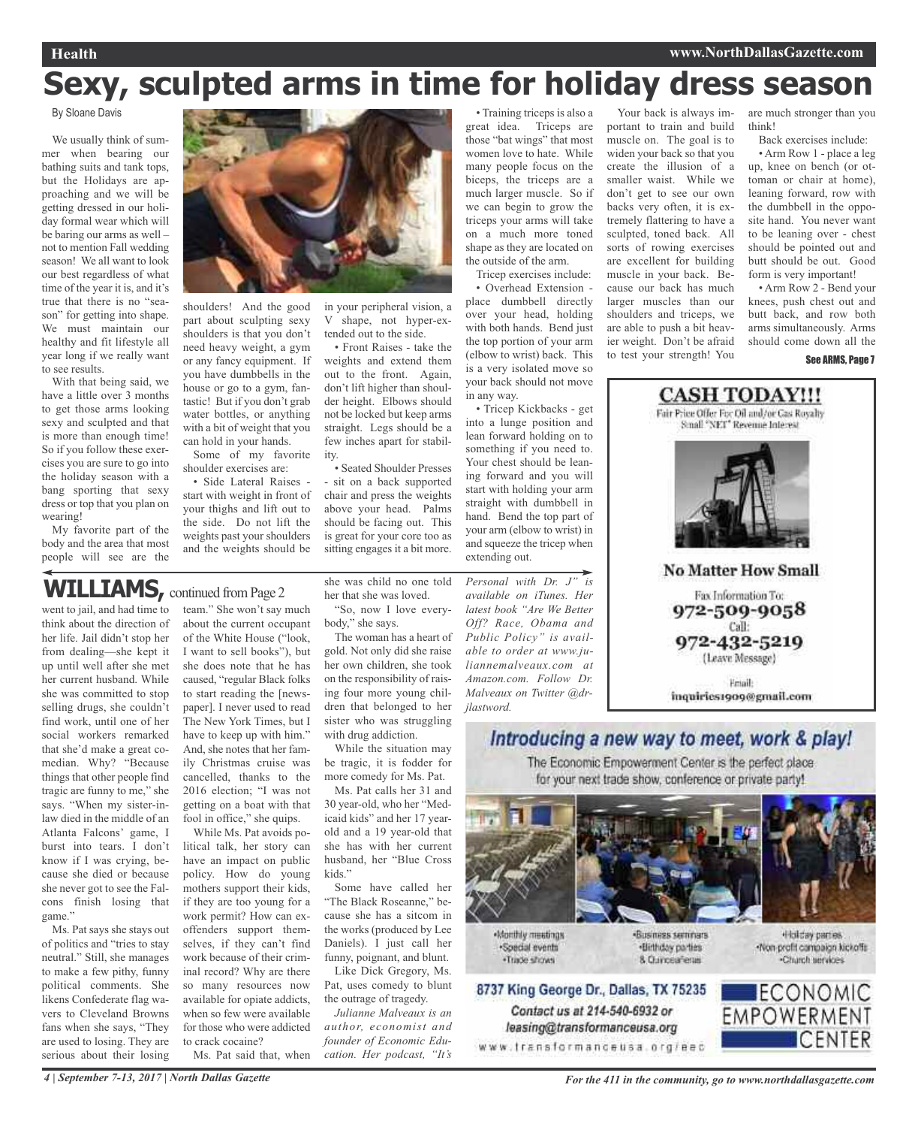# **Sexy, sculpted arms in time for holiday dress season**

#### By Sloane Davis

We usually think of summer when bearing our bathing suits and tank tops, but the Holidays are approaching and we will be getting dressed in our holiday formal wear which will be baring our arms as well – not to mention Fall wedding season! We all want to look our best regardless of what time of the year it is, and it's true that there is no "season" for getting into shape. We must maintain our healthy and fit lifestyle all year long if we really want to see results.

With that being said, we have a little over 3 months to get those arms looking sexy and sculpted and that is more than enough time! So if you follow these exercises you are sure to go into the holiday season with a bang sporting that sexy dress or top that you plan on wearing!

My favorite part of the body and the area that most people will see are the



shoulders! And the good part about sculpting sexy shoulders is that you don't need heavy weight, a gym or any fancy equipment. If you have dumbbells in the house or go to a gym, fantastic! But if you don't grab water bottles, or anything with a bit of weight that you can hold in your hands.

Some of my favorite shoulder exercises are:

• Side Lateral Raises start with weight in front of your thighs and lift out to the side. Do not lift the weights past your shoulders and the weights should be

in your peripheral vision, a V shape, not hyper-extended out to the side.

• Front Raises - take the weights and extend them out to the front. Again, don't lift higher than shoulder height. Elbows should not be locked but keep arms straight. Legs should be a few inches apart for stability.

• Seated Shoulder Presses - sit on a back supported chair and press the weights above your head. Palms should be facing out. This is great for your core too as sitting engages it a bit more.

## WILLIAMS, continued from Page 2

went to jail, and had time to think about the direction of her life. Jail didn't stop her from dealing—she kept it up until well after she met her current husband. While she was committed to stop selling drugs, she couldn't find work, until one of her social workers remarked that she'd make a great comedian. Why? "Because things that other people find tragic are funny to me," she says. "When my sister-inlaw died in the middle of an Atlanta Falcons' game, I burst into tears. I don't know if I was crying, because she died or because she never got to see the Falcons finish losing that game."

Ms. Pat says she stays out of politics and "tries to stay neutral." Still, she manages to make a few pithy, funny political comments. She likens Confederate flag wavers to Cleveland Browns fans when she says, "They are used to losing. They are serious about their losing

team." She won't say much about the current occupant of the White House ("look, I want to sell books"), but she does note that he has caused, "regular Black folks to start reading the [newspaper]. I never used to read The New York Times, but I have to keep up with him." And, she notes that her family Christmas cruise was cancelled, thanks to the 2016 election; "I was not getting on a boat with that fool in office," she quips.

While Ms. Pat avoids political talk, her story can have an impact on public policy. How do young mothers support their kids, if they are too young for a work permit? How can exoffenders support themselves, if they can't find work because of their criminal record? Why are there so many resources now available for opiate addicts, when so few were available for those who were addicted to crack cocaine? Ms. Pat said that, when she was child no one told her that she was loved.

"So, now I love everybody," she says.

The woman has a heart of gold. Not only did she raise her own children, she took on the responsibility of raising four more young children that belonged to her sister who was struggling with drug addiction.

While the situation may be tragic, it is fodder for more comedy for Ms. Pat.

Ms. Pat calls her 31 and 30 year-old, who her "Medicaid kids" and her 17 yearold and a 19 year-old that she has with her current husband, her "Blue Cross kids<sup>"</sup>

Some have called her "The Black Roseanne," because she has a sitcom in the works (produced by Lee Daniels). I just call her funny, poignant, and blunt.

Like Dick Gregory, Ms. Pat, uses comedy to blunt the outrage of tragedy.

*Julianne Malveaux is an author, economist and founder of Economic Education. Her podcast, "It's*

• Training triceps is also a great idea. Triceps are those "bat wings" that most women love to hate. While many people focus on the biceps, the triceps are a much larger muscle. So if we can begin to grow the triceps your arms will take on a much more toned shape as they are located on the outside of the arm.

Tricep exercises include:

• Overhead Extension place dumbbell directly over your head, holding with both hands. Bend just the top portion of your arm (elbow to wrist) back. This is a very isolated move so your back should not move in any way.

• Tricep Kickbacks - get into a lunge position and lean forward holding on to something if you need to. Your chest should be leaning forward and you will start with holding your arm straight with dumbbell in hand. Bend the top part of your arm (elbow to wrist) in and squeeze the tricep when extending out.

*Personal with Dr. J" is available on iTunes. Her latest book "Are We Better Off? Race, Obama and Public Policy" is available to order at www.juliannemalveaux.com at Amazon.com. Follow Dr. Malveaux on Twitter @drjlastword.*

Your back is always important to train and build muscle on. The goal is to widen your back so that you create the illusion of a smaller waist. While we don't get to see our own backs very often, it is extremely flattering to have a sculpted, toned back. All sorts of rowing exercises are excellent for building muscle in your back. Because our back has much larger muscles than our shoulders and triceps, we are able to push a bit heavier weight. Don't be afraid to test your strength! You

are much stronger than you think!

Back exercises include:

• Arm Row 1 - place a leg up, knee on bench (or ottoman or chair at home), leaning forward, row with the dumbbell in the opposite hand. You never want to be leaning over - chest should be pointed out and butt should be out. Good form is very important!

• Arm Row 2 - Bend your knees, push chest out and butt back, and row both arms simultaneously. Arms should come down all the



### Introducing a new way to meet, work & play!

The Economic Empowerment Center is the perfect place for your next trade show, conference or private party!



Monthly meetings ·Special events ·Trade shows



Contact us at 214-540-6932 or

leasing@transformanceusa.org

«Business seminars ·Birthday parties 8. Curicea Tenas



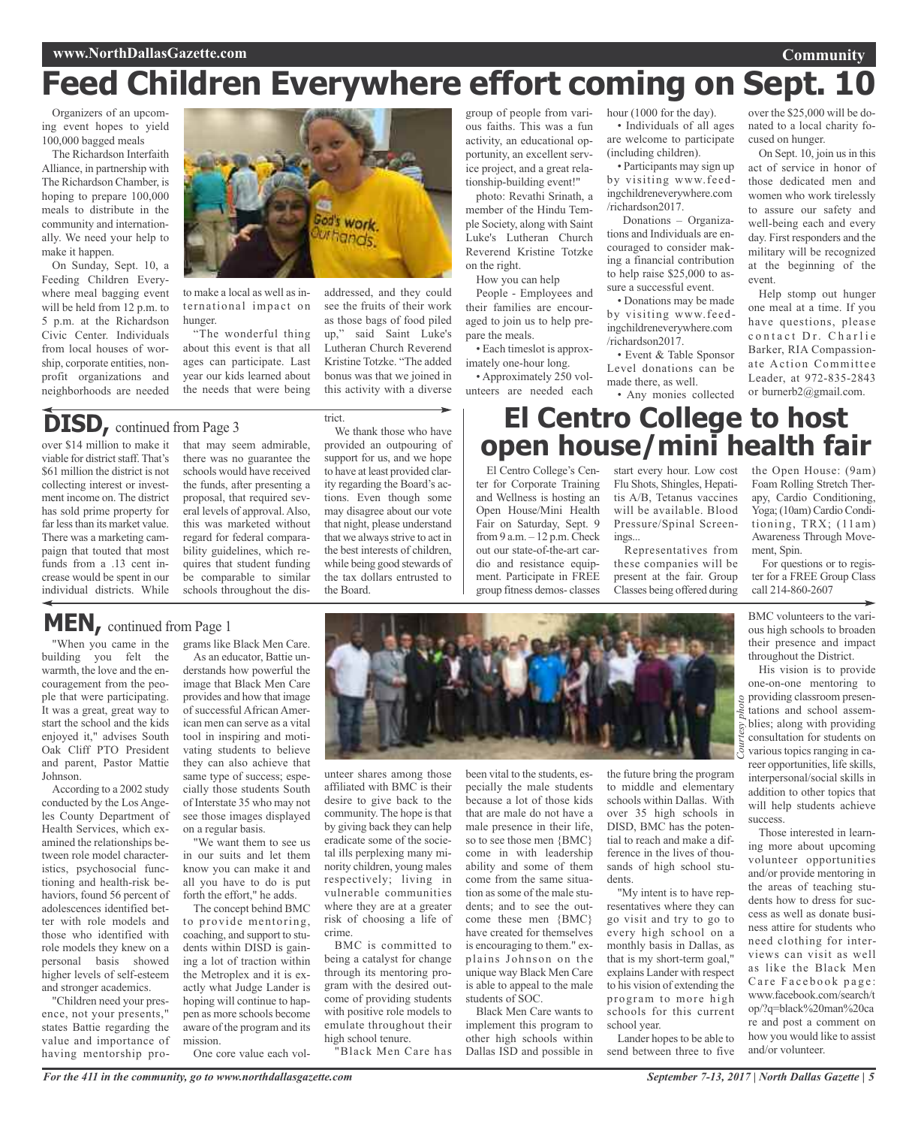# **Feed Children Everywhere effort coming on Sept. 10**

Organizers of an upcoming event hopes to yield 100,000 bagged meals

The Richardson Interfaith Alliance, in partnership with The Richardson Chamber, is hoping to prepare 100,000 meals to distribute in the community and internationally. We need your help to make it happen.

On Sunday, Sept. 10, a Feeding Children Everywhere meal bagging event will be held from 12 p.m. to 5 p.m. at the Richardson Civic Center. Individuals from local houses of worship, corporate entities, nonprofit organizations and neighborhoods are needed



to make a local as well as international impact on hunger.

"The wonderful thing about this event is that all ages can participate. Last year our kids learned about the needs that were being

# **DISD,** continued from Page <sup>3</sup>

over \$14 million to make it viable for district staff. That's \$61 million the district is not collecting interest or investment income on. The district has sold prime property for far less than its market value. There was a marketing campaign that touted that most funds from a .13 cent increase would be spent in our individual districts. While

When you came in the building you felt the warmth, the love and the encouragement from the people that were participating. It was a great, great way to start the school and the kids enjoyed it," advises South Oak Cliff PTO President and parent, Pastor Mattie

**MEN,** continued from Page <sup>1</sup>

According to a 2002 study conducted by the Los Angeles County Department of Health Services, which examined the relationships between role model characteristics, psychosocial functioning and health-risk behaviors, found 56 percent of adolescences identified better with role models and those who identified with role models they knew on a personal basis showed higher levels of self-esteem and stronger academics. "Children need your presence, not your presents," states Battie regarding the value and importance of having mentorship pro-

Johnson.

that may seem admirable, there was no guarantee the schools would have received the funds, after presenting a proposal, that required several levels of approval. Also, this was marketed without regard for federal comparability guidelines, which requires that student funding be comparable to similar schools throughout the dis-

#### We thank those who have provided an outpouring of support for us, and we hope to have at least provided clarity regarding the Board's actions. Even though some may disagree about our vote that night, please understand that we always strive to act in the best interests of children, while being good stewards of the tax dollars entrusted to the Board.

this activity with a diverse

trict.

group of people from various faiths. This was a fun activity, an educational opportunity, an excellent service project, and a great relationship-building event!"

photo: Revathi Srinath, a member of the Hindu Temple Society, along with Saint Luke's Lutheran Church Reverend Kristine Totzke on the right.

How you can help

addressed, and they could see the fruits of their work as those bags of food piled up," said Saint Luke's Lutheran Church Reverend Kristine Totzke. "The added bonus was that we joined in People - Employees and their families are encouraged to join us to help prepare the meals. • Each timeslot is approximately one-hour long.

• Approximately 250 volunteers are needed each hour (1000 for the day). • Individuals of all ages are welcome to participate

(including children). • Participants may sign up by visiting www.feedingchildreneverywhere.com /richardson2017.

Donations – Organizations and Individuals are encouraged to consider making a financial contribution to help raise \$25,000 to assure a successful event.

• Donations may be made by visiting www.feedingchildreneverywhere.com /richardson2017.

• Event & Table Sponsor Level donations can be made there, as well.

• Any monies collected

over the \$25,000 will be donated to a local charity focused on hunger.

**Community**

On Sept. 10, join us in this act of service in honor of those dedicated men and women who work tirelessly to assure our safety and well-being each and every day. First responders and the military will be recognized at the beginning of the event.

Help stomp out hunger one meal at a time. If you have questions, please contact Dr. Charlie Barker, RIA Compassionate Action Committee Leader, at 972-835-2843 or burnerb2@gmail.com.

# **El Centro College to host open house/mini health fair**

El Centro College's Center for Corporate Training and Wellness is hosting an Open House/Mini Health Fair on Saturday, Sept. 9 from 9 a.m. – 12 p.m. Check out our state-of-the-art cardio and resistance equipment. Participate in FREE group fitness demos- classes

start every hour. Low cost Flu Shots, Shingles, Hepatitis A/B, Tetanus vaccines will be available. Blood Pressure/Spinal Screenings...

Representatives from these companies will be present at the fair. Group Classes being offered during the Open House: (9am) Foam Rolling Stretch Therapy, Cardio Conditioning, Yoga; (10am) Cardio Conditioning, TRX; (11am) Awareness Through Movement, Spin.

For questions or to register for a FREE Group Class call 214-860-2607

BMC volunteers to the various high schools to broaden their presence and impact throughout the District.

peroviding classroom presen-His vision is to provide one-on-one mentoring to tations and school assemblies; along with providing consultation for students on various topics ranging in career opportunities, life skills, interpersonal/social skills in addition to other topics that will help students achieve success.

Those interested in learning more about upcoming volunteer opportunities and/or provide mentoring in the areas of teaching students how to dress for success as well as donate business attire for students who need clothing for interviews can visit as well as like the Black Men Care Facebook page: www.facebook.com/search/t op/?q=black%20man%20ca re and post a comment on how you would like to assist and/or volunteer.

grams like Black Men Care. As an educator, Battie understands how powerful the image that Black Men Care provides and how that image of successful African American men can serve as a vital tool in inspiring and motivating students to believe they can also achieve that

same type of success; especially those students South of Interstate 35 who may not see those images displayed "We want them to see us in our suits and let them know you can make it and all you have to do is put forth the effort," he adds.

The concept behind BMC to provide mentoring, coaching, and support to students within DISD is gaining a lot of traction within the Metroplex and it is exactly what Judge Lander is hoping will continue to happen as more schools become aware of the program and its mission.

on a regular basis.

One core value each vol-

unteer shares among those been vital to the students, es-

affiliated with BMC is their desire to give back to the community. The hope is that by giving back they can help eradicate some of the societal ills perplexing many minority children, young males respectively; living in vulnerable communities where they are at a greater risk of choosing a life of crime.

BMC is committed to being a catalyst for change through its mentoring program with the desired outcome of providing students with positive role models to emulate throughout their high school tenure.

"Black Men Care has

pecially the male students because a lot of those kids that are male do not have a male presence in their life, so to see those men {BMC} come in with leadership ability and some of them come from the same situation assome of the male students; and to see the outcome these men {BMC} have created for themselves is encouraging to them." explains Johnson on the unique way Black Men Care is able to appeal to the male students of SOC.

Black Men Care wants to implement this program to other high schools within Dallas ISD and possible in

the future bring the program to middle and elementary schools within Dallas. With over 35 high schools in DISD, BMC has the potential to reach and make a difference in the lives of thousands of high school students.

"My intent is to have representatives where they can go visit and try to go to every high school on a monthly basis in Dallas, as that is my short-term goal," explains Lander with respect to his vision of extending the program to more high schools for this current school year.

Lander hopes to be able to send between three to five

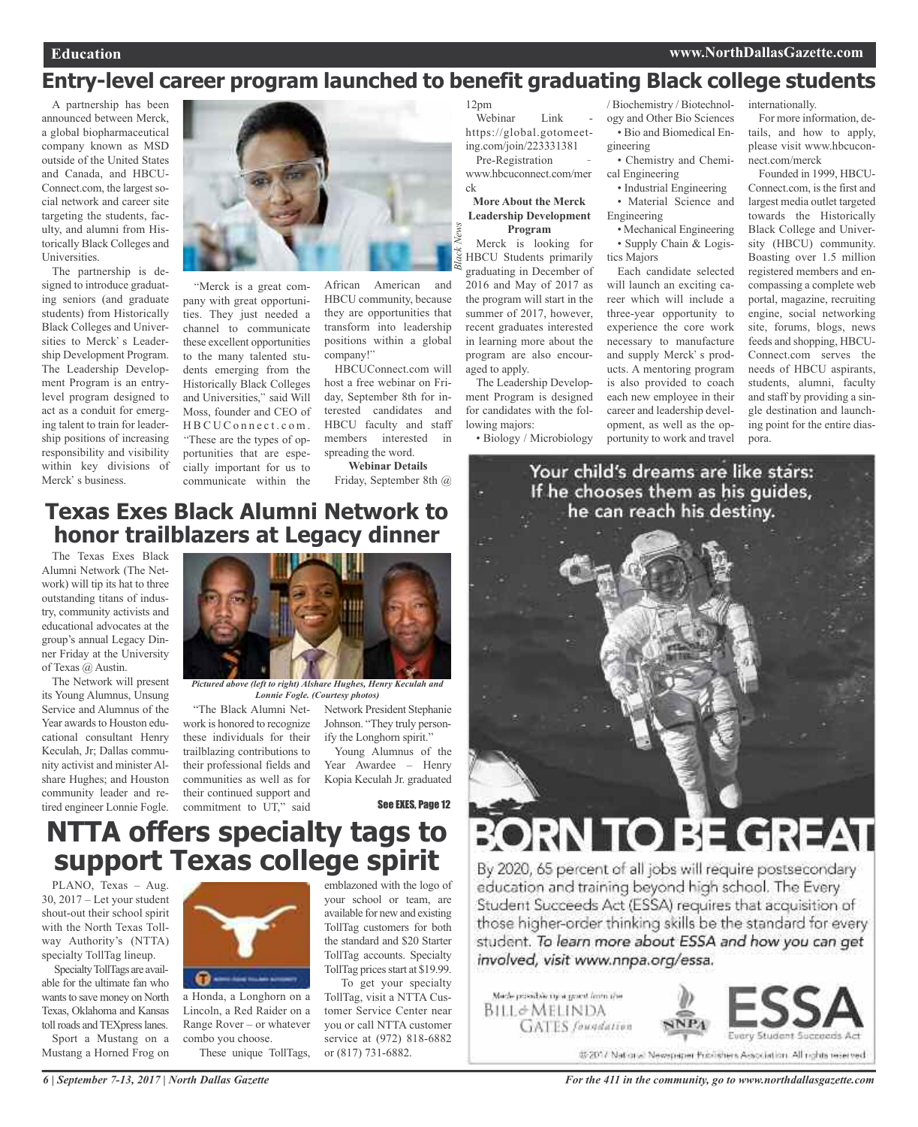# **Entry-level career program launched to benefit graduating Black college students**

ck

*Black News*

A partnership has been announced between Merck, a global biopharmaceutical company known as MSD outside of the United States and Canada, and HBCU-Connect.com, the largest social network and career site targeting the students, faculty, and alumni from Historically Black Colleges and Universities.

The partnership is designed to introduce graduating seniors (and graduate students) from Historically Black Colleges and Universities to Merck's Leadership Development Program. The Leadership Development Program is an entrylevel program designed to act as a conduit for emerging talent to train for leadership positions of increasing responsibility and visibility within key divisions of Merck' s business.



Merck is a great company with great opportunities. They just needed a channel to communicate these excellent opportunities to the many talented students emerging from the Historically Black Colleges and Universities," said Will Moss, founder and CEO of HBCUConnect.com. These are the types of opportunities that are especially important for us to communicate within the

African American and HBCU community, because they are opportunities that transform into leadership positions within a global company!

HBCUConnect.com will host a free webinar on Friday, September 8th for interested candidates and HBCU faculty and staff members interested in spreading the word.

**Webinar Details**

Friday, September 8th @

## **Texas Exes Black Alumni Network to honor trailblazers at Legacy dinner**

The Texas Exes Black Alumni Network (The Network) will tip its hat to three outstanding titans of industry, community activists and educational advocates at the group's annual Legacy Dinner Friday at the University of Texas @ Austin.

The Network will present its Young Alumnus, Unsung Service and Alumnus of the Year awards to Houston educational consultant Henry Keculah, Jr; Dallas community activist and minister Alshare Hughes; and Houston community leader and retired engineer Lonnie Fogle.



*Pictured above (left to right) Alshare Hughes, Henry Keculah and Lonnie Fogle. (Courtesy photos)*

work is honored to recognize these individuals for their trailblazing contributions to their professional fields and communities as well as for their continued support and commitment to UT," said

"The Black Alumni Net-Network President Stephanie Johnson. "They truly personify the Longhorn spirit."

> Young Alumnus of the Year Awardee – Henry Kopia Keculah Jr. graduated

> emblazoned with the logo of your school or team, are available for new and existing TollTag customers for both the standard and \$20 Starter TollTag accounts. Specialty TollTag prices start at \$19.99. To get your specialty TollTag, visit a NTTA Customer Service Center near you or call NTTA customer service at (972) 818-6882

or (817) 731-6882.

See EXES, Page 12

# **NTTA offers specialty tags to support Texas college spirit**

PLANO, Texas – Aug. 30, 2017 – Let your student shout-out their school spirit with the North Texas Tollway Authority's (NTTA) specialty TollTag lineup.

SpecialtyTollTags are available for the ultimate fan who wants to save money on North Texas, Oklahoma and Kansas toll roads and TEXpress lanes.

Sport a Mustang on a Mustang a Horned Frog on



a Honda, a Longhorn on a Lincoln, a Red Raider on a Range Rover – or whatever combo you choose.

These unique TollTags,

12pm Webinar Link

https://global.gotomeeting.com/join/223331381 Pre-Registration www.hbcuconnect.com/mer

#### **More About the Merck Leadership Development Program**

Merck is looking for HBCU Students primarily graduating in December of 2016 and May of 2017 as the program will start in the summer of 2017, however, recent graduates interested in learning more about the program are also encouraged to apply.

The Leadership Development Program is designed for candidates with the following majors:

• Biology / Microbiology

/ Biochemistry / Biotechnology and Other Bio Sciences • Bio and Biomedical Engineering

- Chemistry and Chemical Engineering
	- Industrial Engineering
- Material Science and Engineering
- Mechanical Engineering • Supply Chain & Logistics Majors

Each candidate selected will launch an exciting career which will include a three-year opportunity to experience the core work necessary to manufacture and supply Merck' s products. A mentoring program is also provided to coach each new employee in their career and leadership development, as well as the opportunity to work and travel

internationally.

For more information, details, and how to apply, please visit www.hbcuconnect.com/merck

Founded in 1999, HBCU-Connect.com, is the first and largest media outlet targeted towards the Historically Black College and University (HBCU) community. Boasting over 1.5 million registered members and encompassing a complete web portal, magazine, recruiting engine, social networking site, forums, blogs, news feeds and shopping, HBCU-Connect.com serves the needs of HBCU aspirants, students, alumni, faculty and staff by providing a single destination and launching point for the entire diaspora.

Your child's dreams are like stars: If he chooses them as his guides, he can reach his destiny.



# **BORN TO BE GREAT**

By 2020, 65 percent of all jobs will require postsecondary education and training beyond high school. The Every Student Succeeds Act (ESSA) requires that acquisition of those higher-order thinking skills be the standard for every student. To learn more about ESSA and how you can get involved, visit www.nnpa.org/essa.

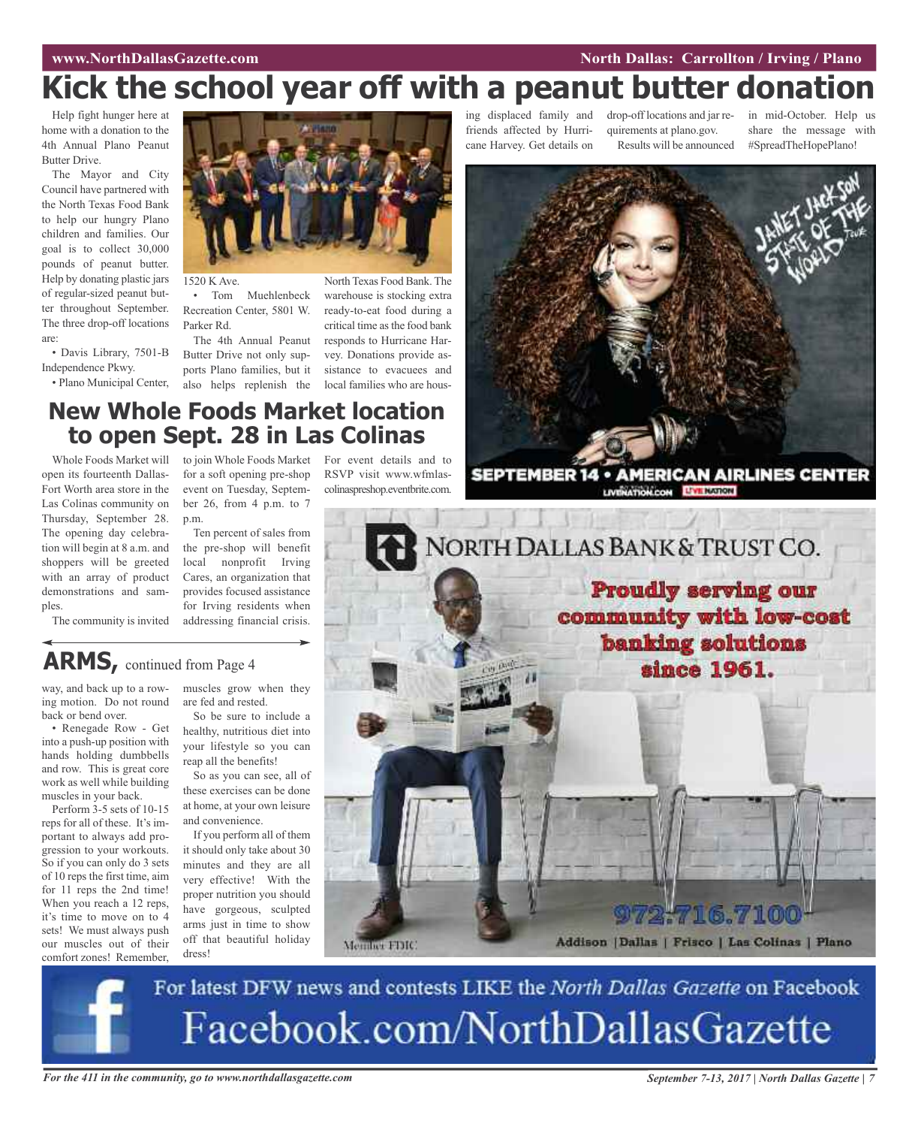#### **WWW.NorthDallasGazette.com** *Entertainment* **<b>Carrollton** *Entertainment**North Dallas: Carrollton* **/ Irving / Plano**

# **Kick the school year off with a peanut butter donation**

Help fight hunger here at home with a donation to the 4th Annual Plano Peanut Butter Drive.

The Mayor and City Council have partnered with the North Texas Food Bank to help our hungry Plano children and families. Our goal is to collect 30,000 pounds of peanut butter. Help by donating plastic jars of regular-sized peanut butter throughout September. The three drop-off locations are:

• Davis Library, 7501-B Independence Pkwy.

• Plano Municipal Center,



to join Whole Foods Market For event details and to

1520 K Ave.

• Tom Muehlenbeck Recreation Center, 5801 W. Parker Rd.

The 4th Annual Peanut Butter Drive not only supports Plano families, but it also helps replenish the local families who are hous-

North Texas Food Bank. The warehouse is stocking extra ready-to-eat food during a critical time asthe food bank responds to Hurricane Harvey. Donations provide assistance to evacuees and

RSVP visit www.wfmlas-

ing displaced family and friends affected by Hurricane Harvey. Get details on

drop-off locations and jar requirements at plano.gov. Results will be announced

in mid-October. Help us share the message with #SpreadTheHopePlano!



**SEPTEMBER 14 · AMERICAN AIRLINES CENTER LIVERATION.CON LIVE NATION** 



Whole Foods Market will open its fourteenth Dallas-Fort Worth area store in the Las Colinas community on Thursday, September 28. The opening day celebration will begin at 8 a.m. and shoppers will be greeted with an array of product demonstrations and samples.

The community is invited

for a soft opening pre-shop event on Tuesday, September 26, from 4 p.m. to 7 p.m. Ten percent of sales from

the pre-shop will benefit local nonprofit Irving Cares, an organization that provides focused assistance for Irving residents when addressing financial crisis.

## **ARMS,** continued from Page <sup>4</sup>

way, and back up to a rowing motion. Do not round back or bend over.

• Renegade Row - Get into a push-up position with hands holding dumbbells and row. This is great core work as well while building muscles in your back.

Perform 3-5 sets of 10-15 reps for all of these. It's important to always add progression to your workouts. So if you can only do 3 sets of 10 reps the first time, aim for 11 reps the 2nd time! When you reach a 12 reps, it's time to move on to 4 sets! We must always push our muscles out of their comfort zones! Remember, muscles grow when they are fed and rested. So be sure to include a

healthy, nutritious diet into your lifestyle so you can reap all the benefits!

So as you can see, all of these exercises can be done at home, at your own leisure and convenience.

If you perform all of them it should only take about 30 minutes and they are all very effective! With the proper nutrition you should have gorgeous, sculpted arms just in time to show off that beautiful holiday dress!

Member FDIC



## 716.710 Addison | Dallas | Frisco | Las Colinas | Plano

For latest DFW news and contests LIKE the North Dallas Gazette on Facebook Facebook.com/NorthDallasGazette

For the 411 in the community, go to www.northdallasgazette.com September 7-13, 2017 | North Dallas Gazette | 7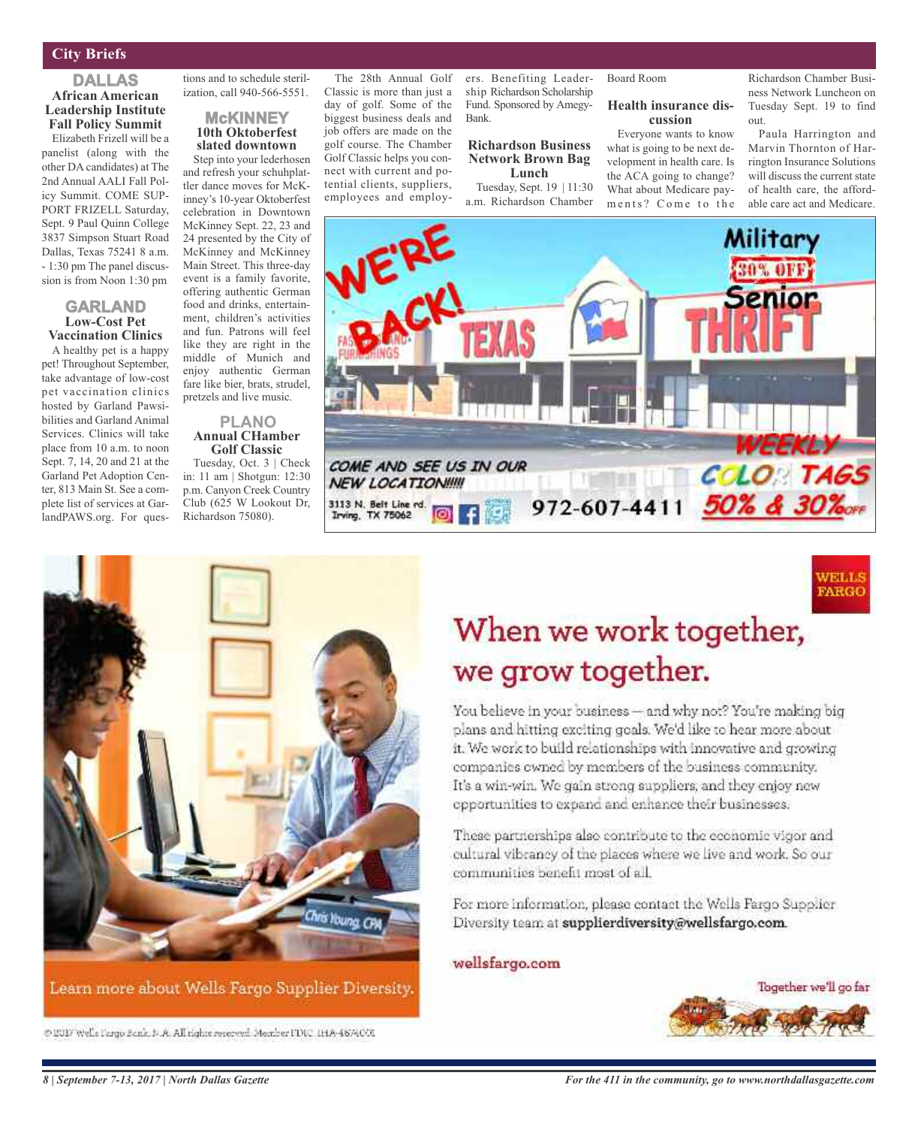#### **City Briefs**

#### **DALLAS African American Leadership Institute Fall Policy Summit**

Elizabeth Frizell will be a panelist (along with the other DA candidates) at The 2nd Annual AALI Fall Policy Summit. COME SUP-PORT FRIZELL Saturday, Sept. 9 Paul Quinn College 3837 Simpson Stuart Road Dallas, Texas 75241 8 a.m. - 1:30 pm The panel discussion is from Noon 1:30 pm

#### **GARLAND Low-Cost Pet Vaccination Clinics**

A healthy pet is a happy pet! Throughout September, take advantage of low-cost pet vaccination clinics hosted by Garland Pawsibilities and Garland Animal Services. Clinics will take place from 10 a.m. to noon Sept. 7, 14, 20 and 21 at the Garland Pet Adoption Center, 813 Main St. See a complete list of services at GarlandPAWS.org. For ques-

tions and to schedule sterilization, call 940-566-5551.

#### **McKINNEY 10th Oktoberfest slated downtown**

Step into your lederhosen and refresh your schuhplattler dance moves for McKinney's 10-year Oktoberfest celebration in Downtown McKinney Sept. 22, 23 and 24 presented by the City of McKinney and McKinney Main Street. This three-day event is a family favorite, offering authentic German food and drinks, entertainment, children's activities and fun. Patrons will feel like they are right in the middle of Munich and enjoy authentic German fare like bier, brats, strudel, pretzels and live music.

#### **PLANO Annual CHamber Golf Classic**

Tuesday, Oct. 3 | Check in: 11 am | Shotgun: 12:30 p.m. Canyon Creek Country Club (625 W Lookout Dr, Richardson 75080).

The 28th Annual Golf Classic is more than just a day of golf. Some of the biggest business deals and job offers are made on the golf course. The Chamber Golf Classic helps you connect with current and potential clients, suppliers, employees and employ-

ers. Benefiting Leadership Richardson Scholarship Fund. Sponsored by Amegy-Bank.

#### **Richardson Business Network Brown Bag Lunch**

Tuesday, Sept. 19 | 11:30 a.m. Richardson Chamber Board Room

#### **Health insurance discussion**

Everyone wants to know what is going to be next development in health care. Is the ACA going to change? What about Medicare payments? Come to the Richardson Chamber Business Network Luncheon on Tuesday Sept. 19 to find out.

Paula Harrington and Marvin Thornton of Harrington Insurance Solutions will discuss the current state of health care, the affordable care act and Medicare.





# is Young CPA Learn more about Wells Fargo Supplier Diversity.

@ 2017 Well's Fargo Bank, N.A. All rights reserved. Member FDIC, IHA-4674001

# When we work together, we grow together.

You believe in your business - and why not? You're making big plans and hitting exciting goals. We'd like to hear more about it. We work to build relationships with innovative and growing companies owned by members of the business community. It's a win-win. We gain strong suppliers, and they enjoy new opportunities to expand and enhance their businesses.

These partnerships also contribute to the economic vigor and cultural vibrancy of the places where we live and work. So our communities benefit most of all.

For more information, please contact the Wells Fargo Supplier Diversity team at supplierdiversity@wellsfargo.com.

#### wellsfargo.com

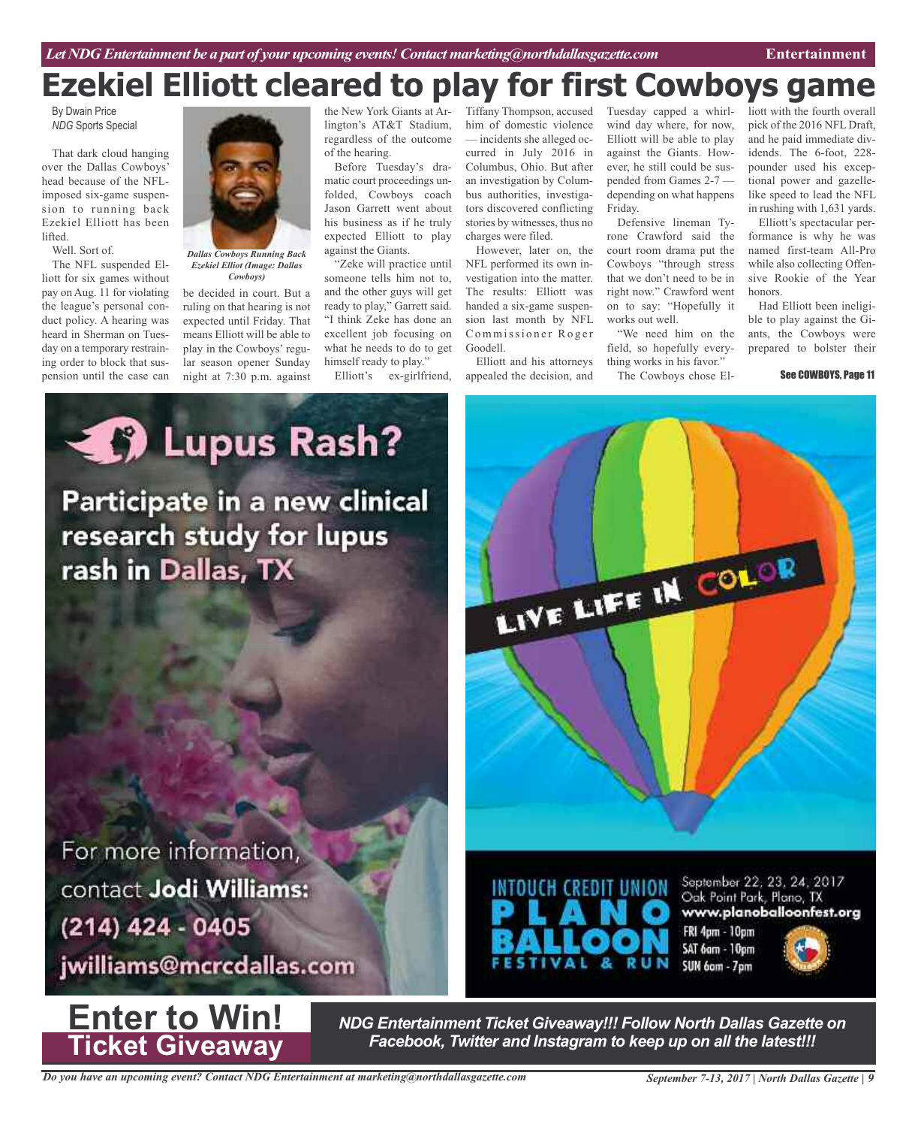# **Ezekiel Elliott cleared to play for first Cowboys game**

By Dwain Price *NDG* Sports Special

That dark cloud hanging over the Dallas Cowboys' head because of the NFLimposed six-game suspension to running back Ezekiel Elliott has been lifted.

Well. Sort of.

The NFL suspended Elliott for six games without pay on Aug. 11 for violating the league's personal conduct policy. A hearing was heard in Sherman on Tuesday on a temporary restraining order to block that suspension until the case can



*Dallas Cowboys Running Back Ezekiel Elliot (Image: Dallas Cowboys)*

be decided in court. But a ruling on that hearing is not expected until Friday. That means Elliott will be able to play in the Cowboys' regular season opener Sunday night at 7:30 p.m. against

the New York Giants at Arlington's AT&T Stadium, regardless of the outcome of the hearing.

Before Tuesday's dramatic court proceedings unfolded, Cowboys coach Jason Garrett went about his business as if he truly expected Elliott to play against the Giants.

"Zeke will practice until someone tells him not to, and the other guys will get ready to play," Garrett said. "I think Zeke has done an excellent job focusing on what he needs to do to get himself ready to play."

Elliott's ex-girlfriend,

Tiffany Thompson, accused him of domestic violence — incidents she alleged occurred in July 2016 in Columbus, Ohio. But after an investigation by Columbus authorities, investigators discovered conflicting stories by witnesses, thus no charges were filed.

However, later on, the NFL performed its own investigation into the matter. The results: Elliott was handed a six-game suspension last month by NFL Commissioner Roger Goodell.

Elliott and his attorneys appealed the decision, and

Tuesday capped a whirlwind day where, for now, Elliott will be able to play against the Giants. However, he still could be suspended from Games 2-7 depending on what happens Friday.

Defensive lineman Tyrone Crawford said the court room drama put the Cowboys "through stress that we don't need to be in right now." Crawford went on to say: "Hopefully it works out well.

"We need him on the field, so hopefully everything works in his favor."

The Cowboys chose El-

liott with the fourth overall pick of the 2016 NFL Draft, and he paid immediate dividends. The 6-foot, 228 pounder used his exceptional power and gazellelike speed to lead the NFL in rushing with 1,631 yards.

Elliott's spectacular performance is why he was named first-team All-Pro while also collecting Offensive Rookie of the Year honors.

Had Elliott been ineligible to play against the Giants, the Cowboys were prepared to bolster their

See COWBOYS, Page 11

**September 2008 Rash?** Participate in a new clinical research study for lupus rash in Dallas, TX

For more information, contact Jodi Williams: (214) 424 - 0405

jwilliams@mcrcdallas.com



*NDG Entertainment Ticket Giveaway!!! Follow North Dallas Gazette on Facebook, Twitter and Instagram to keep up on all the latest!!!*

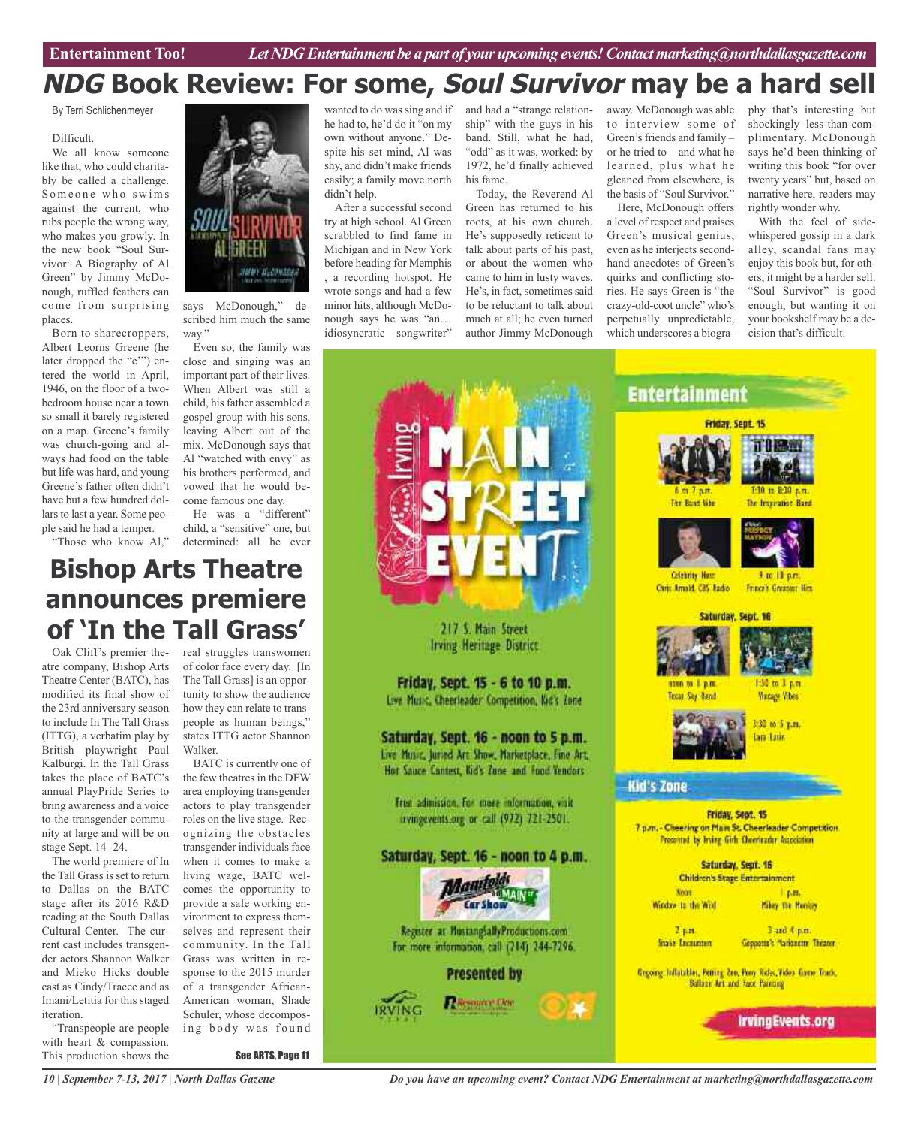# **NDG Book Review: For some, Soul Survivor may be a hard sell**

By Terri Schlichenmeyer

#### Difficult.

We all know someone like that, who could charitably be called a challenge. Someone who swims against the current, who rubs people the wrong way, who makes you growly. In the new book "Soul Survivor: A Biography of Al Green" by Jimmy McDonough, ruffled feathers can come from surprising places.

Born to sharecroppers, Albert Leorns Greene (he later dropped the "e'") entered the world in April, 1946, on the floor of a twobedroom house near a town so small it barely registered on a map. Greene's family was church-going and always had food on the table but life was hard, and young Greene's father often didn't have but a few hundred dollars to last a year. Some people said he had a temper.

"Those who know Al,"

**UNITE** 20033

says McDonough," described him much the same way."

Even so, the family was close and singing was an important part of their lives. When Albert was still a child, his father assembled a gospel group with his sons, leaving Albert out of the mix. McDonough says that Al "watched with envy" as his brothers performed, and vowed that he would become famous one day.

He was a "different" child, a "sensitive" one, but determined: all he ever

# **Bishop Arts Theatre announces premiere of 'In the Tall Grass'**

atre company, Bishop Arts Theatre Center (BATC), has modified its final show of the 23rd anniversary season to include In The Tall Grass (ITTG), a verbatim play by British playwright Paul Kalburgi. In the Tall Grass takes the place of BATC's annual PlayPride Series to bring awareness and a voice to the transgender community at large and will be on stage Sept. 14 -24.

The world premiere of In the Tall Grass is set to return to Dallas on the BATC stage after its 2016 R&D reading at the South Dallas Cultural Center. The current cast includes transgender actors Shannon Walker and Mieko Hicks double cast as Cindy/Tracee and as Imani/Letitia for this staged iteration.

"Transpeople are people with heart & compassion. This production shows the

Oak Cliff's premier the- real struggles transwomen of color face every day. [In The Tall Grass] is an opportunity to show the audience how they can relate to transpeople as human beings," states ITTG actor Shannon Walker.

> BATC is currently one of the few theatres in the DFW area employing transgender actors to play transgender roles on the live stage. Recognizing the obstacles transgender individuals face when it comes to make a living wage, BATC welcomes the opportunity to provide a safe working environment to express themselves and represent their community. In the Tall Grass was written in response to the 2015 murder of a transgender African-American woman, Shade Schuler, whose decomposing body was found

> > See ARTS, Page 11

wanted to do was sing and if he had to, he'd do it "on my own without anyone." Despite his set mind, Al was shy, and didn't make friends easily; a family move north didn't help.

After a successful second try at high school. Al Green scrabbled to find fame in Michigan and in New York before heading for Memphis , a recording hotspot. He wrote songs and had a few minor hits, although McDonough says he was "an… idiosyncratic songwriter"

and had a "strange relationship" with the guys in his band. Still, what he had, "odd" as it was, worked: by 1972, he'd finally achieved his fame.

Today, the Reverend Al Green has returned to his roots, at his own church. He's supposedly reticent to talk about parts of his past, or about the women who came to him in lusty waves. He's, in fact, sometimes said to be reluctant to talk about much at all; he even turned author Jimmy McDonough

away. McDonough was able to interview some of Green's friends and family – or he tried to – and what he learned, plus what he gleaned from elsewhere, is the basis of "Soul Survivor."

Here, McDonough offers a level of respect and praises Green's musical genius, even as he interjects secondhand anecdotes of Green's quirks and conflicting stories. He says Green is "the crazy-old-coot uncle" who's perpetually unpredictable, which underscores a biography that's interesting but shockingly less-than-complimentary. McDonough says he'd been thinking of writing this book "for over twenty years" but, based on narrative here, readers may rightly wonder why.

With the feel of sidewhispered gossip in a dark alley, scandal fans may enjoy this book but, for others, it might be a harder sell. "Soul Survivor" is good enough, but wanting it on your bookshelf may be a decision that's difficult.





*Do you have an upcoming event? Contact NDG Entertainment at marketing@northdallasgazette.com*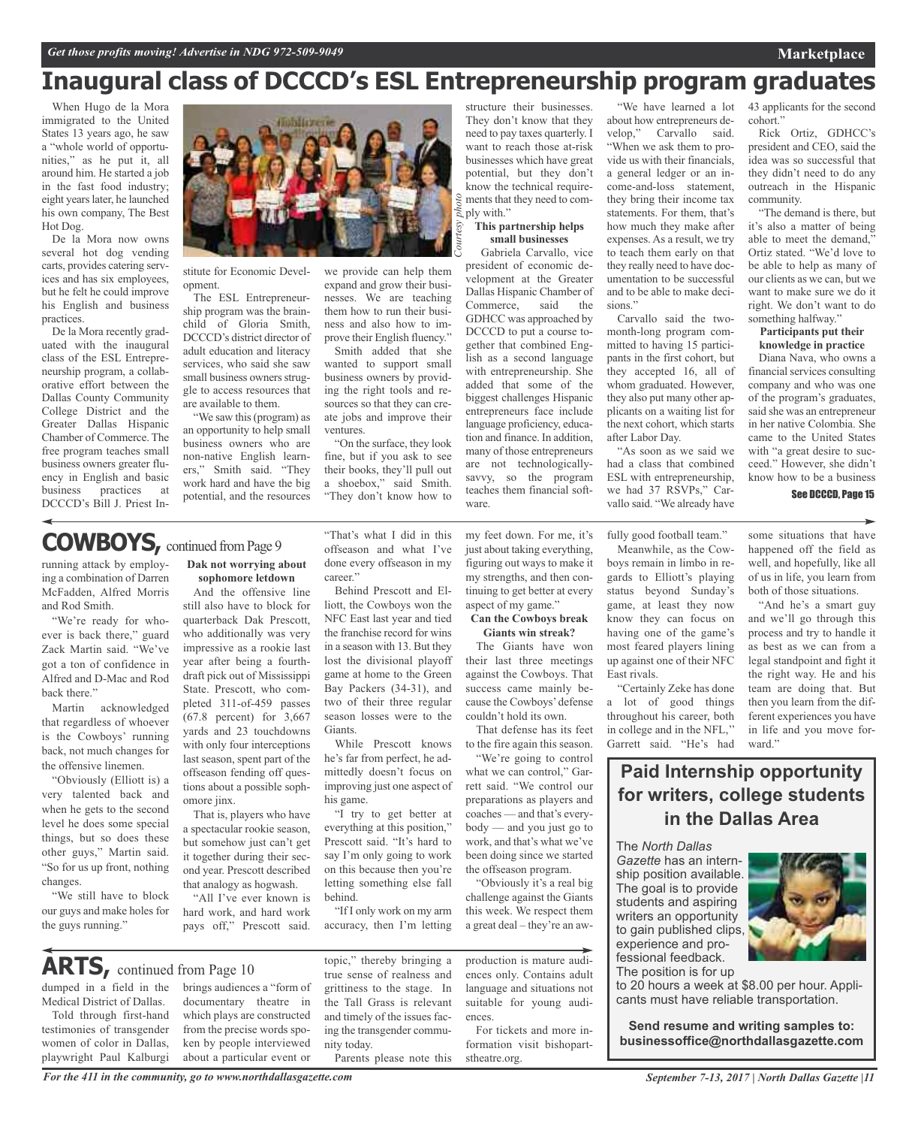# **Inaugural class of DCCCD's ESL Entrepreneurship program graduates**

*Courtesy*

When Hugo de la Mora immigrated to the United States 13 years ago, he saw a "whole world of opportunities," as he put it, all around him. He started a job in the fast food industry; eight years later, he launched his own company, The Best Hot Dog.

De la Mora now owns several hot dog vending carts, provides catering services and has six employees, but he felt he could improve his English and business practices.

De la Mora recently graduated with the inaugural class of the ESL Entrepreneurship program, a collaborative effort between the Dallas County Community College District and the Greater Dallas Hispanic Chamber of Commerce. The free program teaches small business owners greater fluency in English and basic business practices at DCCCD's Bill J. Priest In-



stitute for Economic Development.

The ESL Entrepreneurship program was the brainchild of Gloria Smith, DCCCD's district director of adult education and literacy services, who said she saw small business owners struggle to access resources that are available to them.

"We saw this(program) as an opportunity to help small business owners who are non-native English learners," Smith said. "They work hard and have the big potential, and the resources

we provide can help them expand and grow their businesses. We are teaching them how to run their business and also how to improve their English fluency."

Smith added that she wanted to support small business owners by providing the right tools and resources so that they can create jobs and improve their ventures.

"On the surface, they look fine, but if you ask to see their books, they'll pull out a shoebox," said Smith. "They don't know how to

structure their businesses. They don't know that they need to pay taxes quarterly. I want to reach those at-risk businesses which have great potential, but they don't know the technical require- $\frac{8}{6}$  ments that they need to com- $\frac{8}{6}$  ments that  $\frac{8}{6}$  ply with."

#### **This partnership helps small businesses**

Gabriela Carvallo, vice president of economic development at the Greater Dallas Hispanic Chamber of Commerce, said the GDHCC was approached by DCCCD to put a course together that combined English as a second language with entrepreneurship. She added that some of the biggest challenges Hispanic entrepreneurs face include language proficiency, education and finance. In addition, many of those entrepreneurs are not technologicallysavvy, so the program teaches them financial software.

"We have learned a lot about how entrepreneurs develop," Carvallo said. "When we ask them to provide us with their financials, a general ledger or an income-and-loss statement, they bring their income tax statements. For them, that's how much they make after expenses. As a result, we try to teach them early on that they really need to have documentation to be successful and to be able to make decisions."

Carvallo said the twomonth-long program committed to having 15 participants in the first cohort, but they accepted 16, all of whom graduated. However, they also put many other applicants on a waiting list for the next cohort, which starts after Labor Day.

"As soon as we said we had a class that combined ESL with entrepreneurship, we had 37 RSVPs," Carvallo said. "We already have

fully good football team." Meanwhile, as the Cowboys remain in limbo in re-

a lot of good things

43 applicants for the second cohort."

Rick Ortiz, GDHCC's president and CEO, said the idea was so successful that they didn't need to do any outreach in the Hispanic community.

"The demand is there, but it's also a matter of being able to meet the demand," Ortiz stated. "We'd love to be able to help as many of our clients as we can, but we want to make sure we do it right. We don't want to do something halfway."

#### **Participants put their knowledge in practice**

Diana Nava, who owns a financial services consulting company and who was one of the program's graduates, said she was an entrepreneur in her native Colombia. She came to the United States with "a great desire to succeed." However, she didn't know how to be a business

#### See DCCCD, Page 15

some situations that have happened off the field as well, and hopefully, like all of us in life, you learn from

running attack by employing a combination of Darren McFadden, Alfred Morris **COWBOYS,** continued fromPage <sup>9</sup>

and Rod Smith. "We're ready for whoever is back there," guard Zack Martin said. "We've got a ton of confidence in Alfred and D-Mac and Rod back there."

Martin acknowledged that regardless of whoever is the Cowboys' running back, not much changes for the offensive linemen.

"Obviously (Elliott is) a very talented back and when he gets to the second level he does some special things, but so does these other guys," Martin said. "So for us up front, nothing changes.

"We still have to block our guys and make holes for the guys running."

dumped in a field in the Medical District of Dallas. Told through first-hand testimonies of transgender women of color in Dallas, playwright Paul Kalburgi

**ARTS,** continued from Page <sup>10</sup>

**Dak not worrying about sophomore letdown**

And the offensive line still also have to block for quarterback Dak Prescott, who additionally was very impressive as a rookie last year after being a fourthdraft pick out of Mississippi State. Prescott, who completed 311-of-459 passes (67.8 percent) for 3,667 yards and 23 touchdowns with only four interceptions last season, spent part of the offseason fending off questions about a possible sophomore jinx.

That is, players who have a spectacular rookie season, but somehow just can't get it together during their second year. Prescott described that analogy as hogwash.

"All I've ever known is hard work, and hard work pays off," Prescott said.

brings audiences a "form of documentary theatre in which plays are constructed from the precise words spoken by people interviewed about a particular event or

"That's what I did in this offseason and what I've done every offseason in my career."

Behind Prescott and Elliott, the Cowboys won the NFC East last year and tied the franchise record for wins in a season with 13. But they lost the divisional playoff game at home to the Green Bay Packers (34-31), and two of their three regular season losses were to the Giants.

While Prescott knows he's far from perfect, he admittedly doesn't focus on improving just one aspect of his game.

"I try to get better at everything at this position," Prescott said. "It's hard to say I'm only going to work on this because then you're letting something else fall behind.

"If I only work on my arm accuracy, then I'm letting

topic," thereby bringing a true sense of realness and grittiness to the stage. In the Tall Grass is relevant and timely of the issues facing the transgender commu-

Parents please note this

nity today.

my feet down. For me, it's just about taking everything, figuring out ways to make it my strengths, and then continuing to get better at every aspect of my game."

**Can the Cowboys break Giants win streak?**

The Giants have won their last three meetings against the Cowboys. That success came mainly because the Cowboys' defense couldn't hold its own.

That defense has its feet to the fire again this season.

"We're going to control what we can control," Garrett said. "We control our preparations as players and coaches — and that's everybody — and you just go to work, and that's what we've been doing since we started the offseason program.

"Obviously it's a real big challenge against the Giants this week. We respect them a great deal – they're an aw-

production is mature audiences only. Contains adult language and situations not suitable for young audiences.

For tickets and more information visit bishopartstheatre.org.

gards to Elliott's playing status beyond Sunday's game, at least they now know they can focus on having one of the game's most feared players lining up against one of their NFC "Certainly Zeke has done both of those situations. "And he's a smart guy and we'll go through this process and try to handle it as best as we can from a legal standpoint and fight it the right way. He and his team are doing that. But

then you learn from the dif-

throughout his career, both in college and in the NFL,'' Garrett said. "He's had ferent experiences you have in life and you move forward." **Paid Internship opportunity for writers, college students**

**in the Dallas Area**

The *North Dallas*

East rivals.

*Gazette* has an internship position available. The goal is to provide students and aspiring writers an opportunity to gain published clips, experience and professional feedback.

The position is for up to 20 hours a week at \$8.00 per hour. Applicants must have reliable transportation.

**Send resume and writing samples to: businessoffice@northdallasgazette.com**

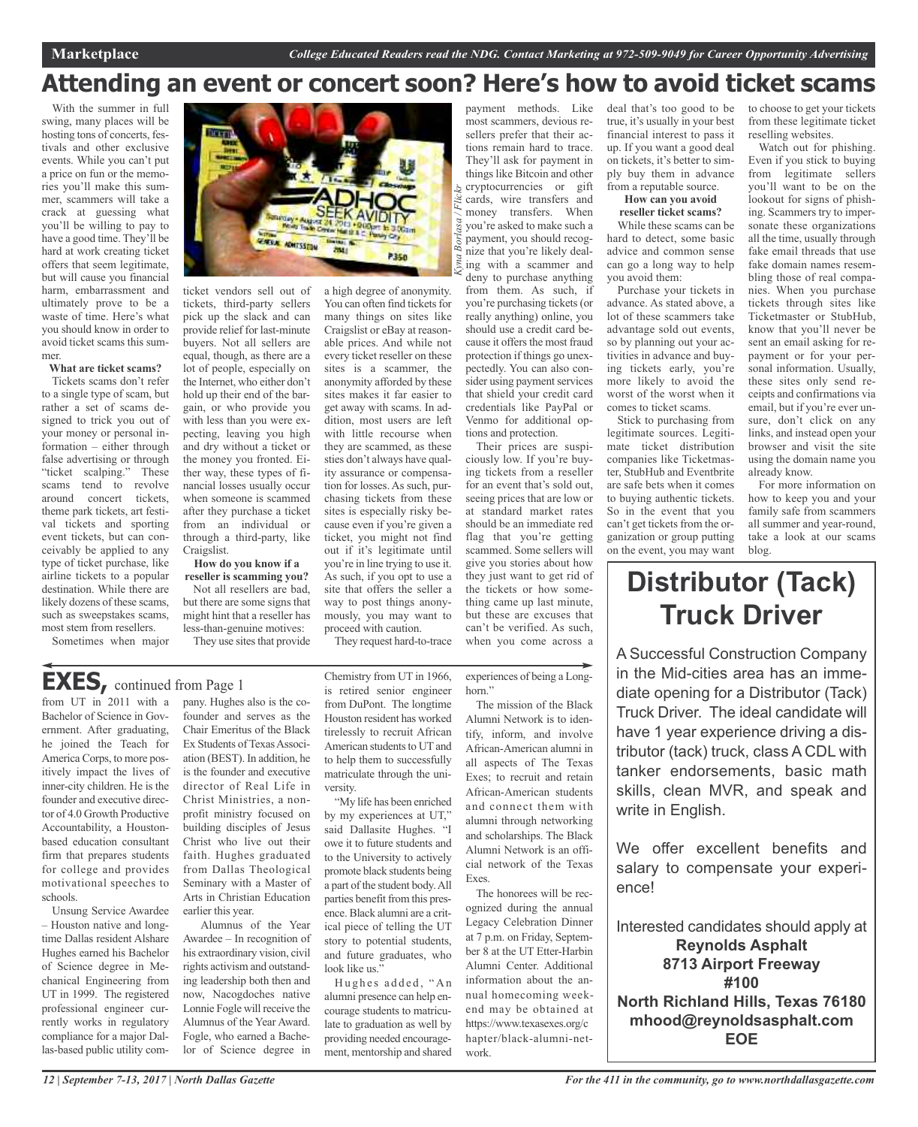# **Attending an event or concert soon? Here's how to avoid ticket scams**

*Kyna Borlasa / Flickr*

With the summer in full swing, many places will be hosting tons of concerts, festivals and other exclusive events. While you can't put a price on fun or the memories you'll make this summer, scammers will take a crack at guessing what you'll be willing to pay to have a good time. They'll be hard at work creating ticket offers that seem legitimate, but will cause you financial harm, embarrassment and ultimately prove to be a waste of time. Here's what you should know in order to avoid ticket scams this summer.

#### **What are ticket scams?**

Tickets scams don't refer to a single type of scam, but rather a set of scams designed to trick you out of your money or personal information – either through false advertising or through "ticket scalping." These scams tend to revolve around concert tickets, theme park tickets, art festival tickets and sporting event tickets, but can conceivably be applied to any type of ticket purchase, like airline tickets to a popular destination. While there are likely dozens of these scams, such as sweepstakes scams, most stem from resellers.

Sometimes when major



ticket vendors sell out of tickets, third-party sellers pick up the slack and can provide relief for last-minute buyers. Not all sellers are equal, though, as there are a lot of people, especially on the Internet, who either don't hold up their end of the bargain, or who provide you with less than you were expecting, leaving you high and dry without a ticket or the money you fronted. Either way, these types of financial losses usually occur when someone is scammed after they purchase a ticket from an individual or through a third-party, like Craigslist.

**How do you know if a**

**reseller is scamming you?** Not all resellers are bad, but there are some signs that

might hint that a reseller has less-than-genuine motives:

They use sites that provide

a high degree of anonymity. You can often find tickets for many things on sites like Craigslist or eBay at reasonable prices. And while not every ticket reseller on these sites is a scammer, the anonymity afforded by these sites makes it far easier to get away with scams. In addition, most users are left with little recourse when they are scammed, as these sties don't always have quality assurance or compensation for losses. As such, purchasing tickets from these sites is especially risky because even if you're given a ticket, you might not find out if it's legitimate until you're in line trying to use it. As such, if you opt to use a site that offers the seller a way to post things anonymously, you may want to proceed with caution.

They request hard-to-trace

## **EXES,** continued from Page <sup>1</sup>

from UT in 2011 with a Bachelor of Science in Government. After graduating, he joined the Teach for America Corps, to more positively impact the lives of inner-city children. He is the founder and executive director of 4.0 Growth Productive Accountability, a Houstonbased education consultant firm that prepares students for college and provides motivational speeches to schools.

Unsung Service Awardee – Houston native and longtime Dallas resident Alshare Hughes earned his Bachelor of Science degree in Mechanical Engineering from UT in 1999. The registered professional engineer currently works in regulatory compliance for a major Dallas-based public utility company. Hughes also is the cofounder and serves as the Chair Emeritus of the Black Ex Students of Texas Association (BEST). In addition, he is the founder and executive director of Real Life in Christ Ministries, a nonprofit ministry focused on building disciples of Jesus Christ who live out their faith. Hughes graduated from Dallas Theological Seminary with a Master of Arts in Christian Education earlier this year.

Alumnus of the Year Awardee – In recognition of his extraordinary vision, civil rights activism and outstanding leadership both then and now, Nacogdoches native Lonnie Fogle will receive the Alumnus of the Year Award. Fogle, who earned a Bachelor of Science degree in

Chemistry from UT in 1966, is retired senior engineer from DuPont. The longtime Houston resident has worked tirelessly to recruit African American students to UT and to help them to successfully matriculate through the university. experiences of being a Longhorn" Alumni Network is to identify, inform, and involve African-American alumni in all aspects of The Texas Exes; to recruit and retain African-American students

"My life has been enriched by my experiences at UT," said Dallasite Hughes. "I owe it to future students and to the University to actively promote black students being a part of the student body.All parties benefit from this presence. Black alumni are a critical piece of telling the UT story to potential students, and future graduates, who look like us."

Hughes added, "An alumni presence can help encourage students to matriculate to graduation as well by providing needed encouragement, mentorship and shared

payment methods. Like most scammers, devious resellers prefer that their actions remain hard to trace. They'll ask for payment in things like Bitcoin and other cryptocurrencies or gift cards, wire transfers and money transfers. When you're asked to make such a payment, you should recognize that you're likely dealing with a scammer and deny to purchase anything from them. As such, if you're purchasing tickets(or really anything) online, you should use a credit card be-

cause it offers the most fraud protection if things go unexpectedly. You can also consider using payment services that shield your credit card credentials like PayPal or Venmo for additional options and protection.

Their prices are suspiciously low. If you're buying tickets from a reseller for an event that's sold out, seeing prices that are low or at standard market rates should be an immediate red flag that you're getting scammed. Some sellers will give you stories about how they just want to get rid of the tickets or how something came up last minute, but these are excuses that can't be verified. As such, when you come across a

The mission of the Black

and connect them with alumni through networking and scholarships. The Black Alumni Network is an official network of the Texas

The honorees will be recognized during the annual Legacy Celebration Dinner at 7 p.m. on Friday, September 8 at the UT Etter-Harbin Alumni Center. Additional information about the annual homecoming weekend may be obtained at https://www.texasexes.org/c hapter/black-alumni-net-

Exes.

work.

deal that's too good to be true, it's usually in your best financial interest to pass it up. If you want a good deal on tickets, it's better to simply buy them in advance from a reputable source.

#### **How can you avoid reseller ticket scams?**

While these scams can be hard to detect, some basic advice and common sense can go a long way to help you avoid them:

Purchase your tickets in advance. As stated above, a lot of these scammers take advantage sold out events, so by planning out your activities in advance and buying tickets early, you're more likely to avoid the worst of the worst when it comes to ticket scams.

Stick to purchasing from legitimate sources. Legitimate ticket distribution companies like Ticketmaster, StubHub and Eventbrite are safe bets when it comes to buying authentic tickets. So in the event that you can't get tickets from the organization or group putting on the event, you may want

to choose to get your tickets from these legitimate ticket reselling websites.

Watch out for phishing. Even if you stick to buying from legitimate sellers you'll want to be on the lookout for signs of phishing. Scammers try to impersonate these organizations all the time, usually through fake email threads that use fake domain names resembling those of real companies. When you purchase tickets through sites like Ticketmaster or StubHub, know that you'll never be sent an email asking for repayment or for your personal information. Usually, these sites only send receipts and confirmations via email, but if you're ever unsure, don't click on any links, and instead open your browser and visit the site using the domain name you already know.

For more information on how to keep you and your family safe from scammers all summer and year-round, take a look at our scams blog.

# **Distributor (Tack) Truck Driver**

A Successful Construction Company in the Mid-cities area has an immediate opening for a Distributor (Tack) Truck Driver. The ideal candidate will have 1 year experience driving a distributor (tack) truck, class A CDL with tanker endorsements, basic math skills, clean MVR, and speak and write in English.

We offer excellent benefits and salary to compensate your experience!

Interested candidates should apply at **Reynolds Asphalt 8713 Airport Freeway #100 North Richland Hills, Texas 76180 mhood@reynoldsasphalt.com EOE**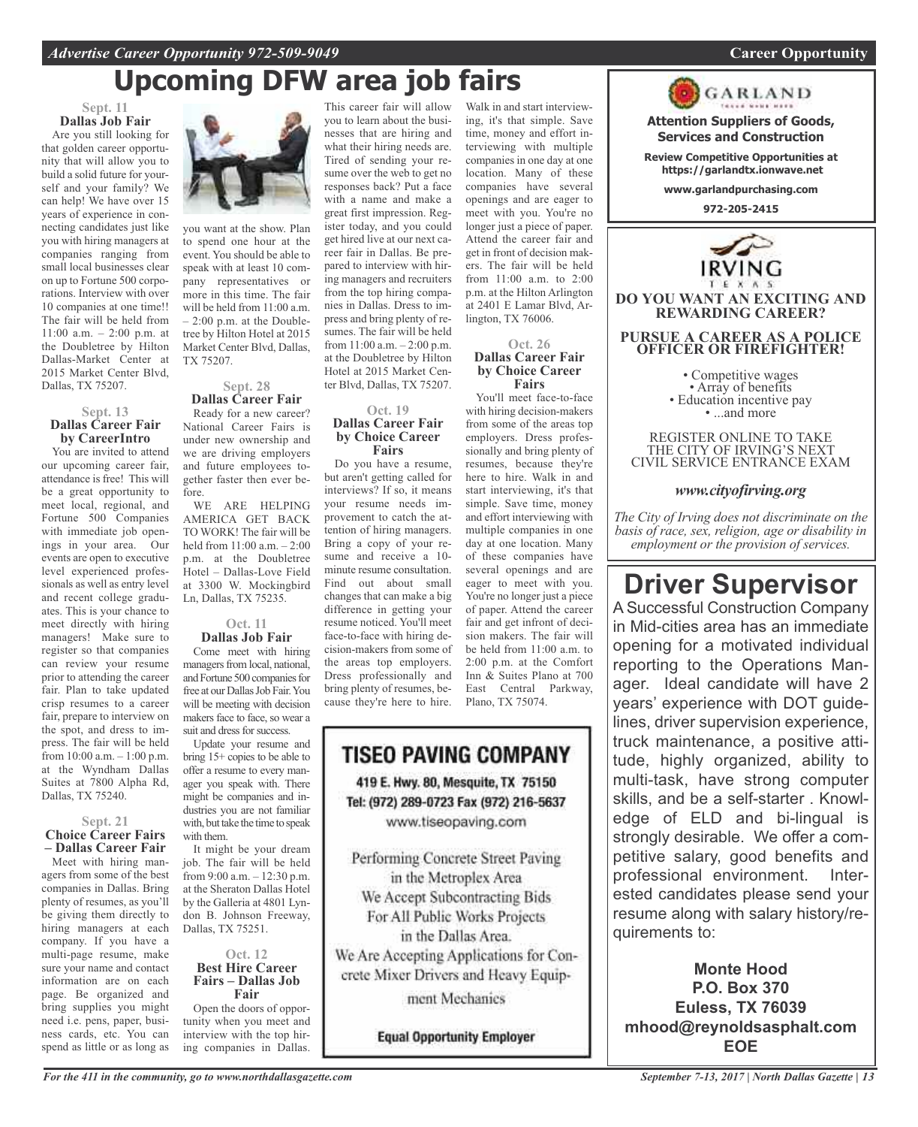# **Upcoming DFW area job fairs**

#### **Sept. 11 Dallas Job Fair**

Are you still looking for that golden career opportunity that will allow you to build a solid future for yourself and your family? We can help! We have over 15 years of experience in connecting candidates just like you with hiring managers at companies ranging from small local businesses clear on up to Fortune 500 corporations. Interview with over 10 companies at one time!! The fair will be held from 11:00 a.m.  $-$  2:00 p.m. at the Doubletree by Hilton Dallas-Market Center at 2015 Market Center Blvd, Dallas, TX 75207.

#### **Sept. 13 Dallas Career Fair by CareerIntro**

You are invited to attend our upcoming career fair, attendance is free! This will be a great opportunity to meet local, regional, and Fortune 500 Companies with immediate job openings in your area. Our events are open to executive level experienced professionals as well as entry level and recent college graduates. This is your chance to meet directly with hiring managers! Make sure to register so that companies can review your resume prior to attending the career fair. Plan to take updated crisp resumes to a career fair, prepare to interview on the spot, and dress to impress. The fair will be held from  $10:00$  a.m.  $-1:00$  p.m. at the Wyndham Dallas Suites at 7800 Alpha Rd, Dallas, TX 75240.

## **Sept. 21**<br>**Choice Career Fairs Choice Career Fairs – Dallas Career Fair**

Meet with hiring managers from some of the best companies in Dallas. Bring plenty of resumes, as you'll be giving them directly to hiring managers at each company. If you have a multi-page resume, make sure your name and contact information are on each page. Be organized and bring supplies you might need i.e. pens, paper, business cards, etc. You can spend as little or as long as



you want at the show. Plan to spend one hour at the event. You should be able to speak with at least 10 company representatives or more in this time. The fair will be held from 11:00 a.m.  $-2:00$  p.m. at the Doubletree by Hilton Hotel at 2015 Market Center Blvd, Dallas, TX 75207.

#### **Sept. 28 Dallas Career Fair**

Ready for a new career? National Career Fairs is under new ownership and we are driving employers and future employees together faster then ever before.

WE ARE HELPING AMERICA GET BACK TO WORK! The fair will be held from 11:00 a.m. – 2:00 p.m. at the Doubletree Hotel – Dallas-Love Field at 3300 W. Mockingbird Ln, Dallas, TX 75235.

#### **Oct. 11 Dallas Job Fair**

Come meet with hiring managers from local, national, and Fortune 500 companies for free at our Dallas Job Fair. You will be meeting with decision makers face to face, so wear a suit and dress for success.

Update your resume and bring 15+ copies to be able to offer a resume to every manager you speak with. There might be companies and industries you are not familiar with, but take the time to speak with them.

It might be your dream job. The fair will be held from 9:00 a.m. – 12:30 p.m. at the Sheraton Dallas Hotel by the Galleria at 4801 Lyndon B. Johnson Freeway, Dallas, TX 75251.

#### **Oct. 12 Best Hire Career Fairs – Dallas Job Fair**

Open the doors of opportunity when you meet and interview with the top hiring companies in Dallas.

This career fair will allow you to learn about the businesses that are hiring and what their hiring needs are. Tired of sending your resume over the web to get no responses back? Put a face with a name and make a great first impression. Register today, and you could get hired live at our next career fair in Dallas. Be prepared to interview with hiring managers and recruiters from the top hiring companies in Dallas. Dress to impress and bring plenty of resumes. The fair will be held from  $11:00$  a.m.  $-2:00$  p.m. at the Doubletree by Hilton Hotel at 2015 Market Center Blvd, Dallas, TX 75207.

#### **Oct. 19 Dallas Career Fair by Choice Career Fairs**

Do you have a resume, but aren't getting called for interviews? If so, it means your resume needs improvement to catch the attention of hiring managers. Bring a copy of your resume and receive a 10 minute resume consultation. Find out about small changes that can make a big difference in getting your resume noticed. You'll meet face-to-face with hiring decision-makers from some of the areas top employers. Dress professionally and bring plenty of resumes, because they're here to hire.



ment Mechanics

**Equal Opportunity Employer** 

Walk in and start interviewing, it's that simple. Save time, money and effort interviewing with multiple companies in one day at one location. Many of these companies have several openings and are eager to meet with you. You're no longer just a piece of paper. Attend the career fair and get in front of decision makers. The fair will be held from 11:00 a.m. to 2:00 p.m. at the Hilton Arlington at 2401 E Lamar Blvd, Arlington, TX 76006.

#### **Oct. 26 Dallas Career Fair by Choice Career Fairs**

You'll meet face-to-face with hiring decision-makers from some of the areas top employers. Dress professionally and bring plenty of resumes, because they're here to hire. Walk in and start interviewing, it's that simple. Save time, money and effort interviewing with multiple companies in one day at one location. Many of these companies have several openings and are eager to meet with you. You're no longer just a piece of paper. Attend the career fair and get infront of decision makers. The fair will be held from 11:00 a.m. to 2:00 p.m. at the Comfort Inn & Suites Plano at 700 East Central Parkway, Plano, TX 75074.



**Attention Suppliers of Goods, Services and Construction**

GARLAND



• Competitive wages<br>• Array of benefits<br>• Education incentive pay<br>• ...and more

REGISTER ONLINE TO TAKE THE CITY OF IRVING'S NEXT CIVIL SERVICE ENTRANCE EXAM

#### *www.cityofirving.org*

*The City of Irving does not discriminate on the basis of race, sex, religion, age or disability in employment or the provision of services.*

# **Driver Supervisor**

A Successful Construction Company in Mid-cities area has an immediate opening for a motivated individual reporting to the Operations Manager. Ideal candidate will have 2 years' experience with DOT guidelines, driver supervision experience, truck maintenance, a positive attitude, highly organized, ability to multi-task, have strong computer skills, and be a self-starter . Knowledge of ELD and bi-lingual is strongly desirable. We offer a competitive salary, good benefits and professional environment. Interested candidates please send your resume along with salary history/requirements to:

**Monte Hood P.O. Box 370 Euless, TX 76039 mhood@reynoldsasphalt.com EOE**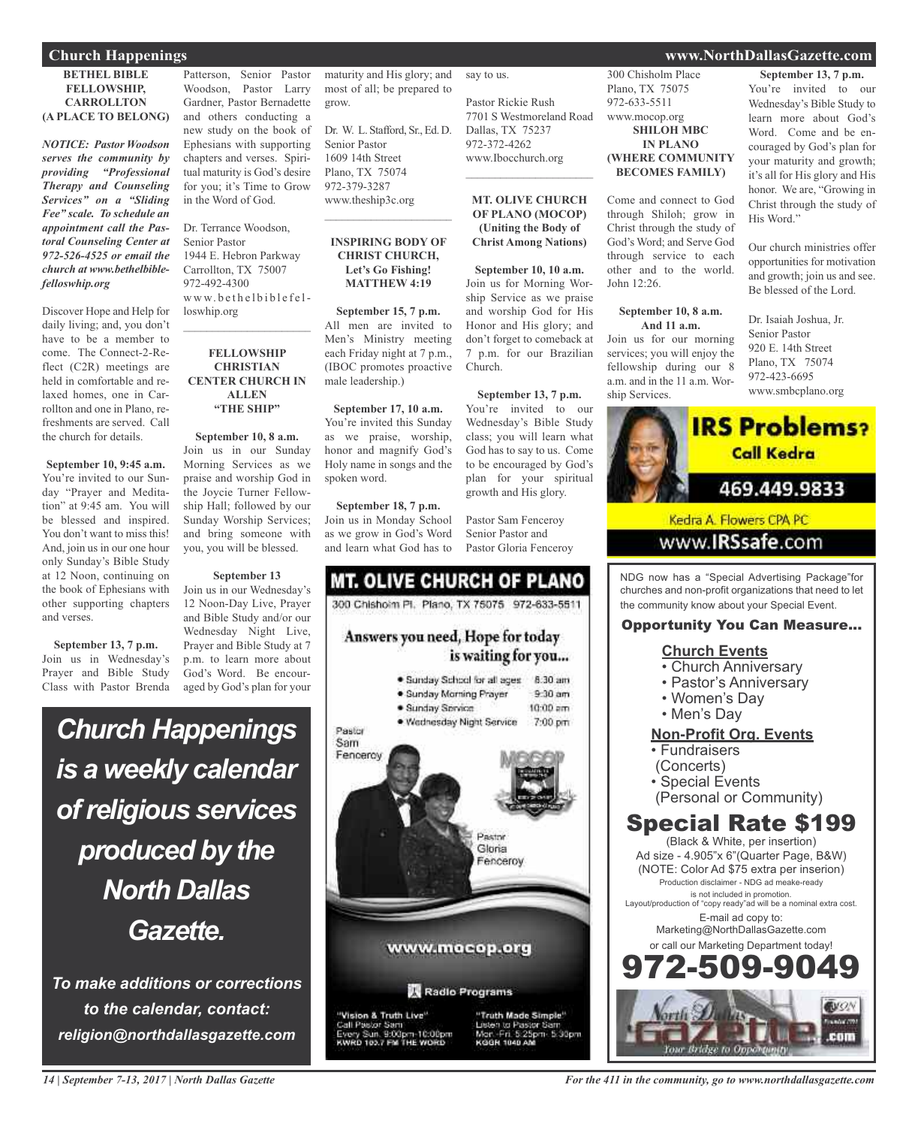#### **Church Happenings www.NorthDallasGazette.com**

#### **BETHEL BIBLE FELLOWSHIP, CARROLLTON (A PLACE TO BELONG)**

*NOTICE: Pastor Woodson serves the community by providing "Professional Therapy and Counseling Services" on a "Sliding Fee" scale. To schedule an appointment call the Pastoral Counseling Center at 972-526-4525 or email the church at www.bethelbiblefelloswhip.org*

Discover Hope and Help for daily living; and, you don't have to be a member to come. The Connect-2-Reflect (C2R) meetings are held in comfortable and relaxed homes, one in Carrollton and one in Plano, refreshments are served. Call the church for details.

**September 10, 9:45 a.m.** You're invited to our Sunday "Prayer and Meditation" at 9:45 am. You will be blessed and inspired. You don't want to miss this! And, join us in our one hour only Sunday's Bible Study at 12 Noon, continuing on the book of Ephesians with other supporting chapters and verses.

**September 13, 7 p.m.** Join us in Wednesday's Prayer and Bible Study Class with Pastor Brenda

Patterson, Senior Pastor Woodson, Pastor Larry Gardner, Pastor Bernadette and others conducting a new study on the book of Ephesians with supporting chapters and verses. Spiritual maturity is God's desire for you; it's Time to Grow in the Word of God.

Dr. Terrance Woodson, Senior Pastor 1944 E. Hebron Parkway Carrollton, TX 75007 972-492-4300 www.bethelbiblefelloswhip.org

#### **FELLOWSHIP CHRISTIAN CENTER CHURCH IN ALLEN "THE SHIP"**

 $\mathcal{L}_\text{max}$  , which is a set of the set of the set of the set of the set of the set of the set of the set of the set of the set of the set of the set of the set of the set of the set of the set of the set of the set of

**September 10, 8 a.m.** Join us in our Sunday Morning Services as we praise and worship God in the Joycie Turner Fellowship Hall; followed by our Sunday Worship Services; and bring someone with you, you will be blessed.

**September 13** Join us in our Wednesday's 12 Noon-Day Live, Prayer and Bible Study and/or our Wednesday Night Live, Prayer and Bible Study at 7 p.m. to learn more about God's Word. Be encouraged by God's plan for your

# *Church Happenings is a weekly calendar ofreligious services produced by the North Dallas Gazette.*

*To make additions or corrections to the calendar, contact: religion@northdallasgazette.com*

maturity and His glory; and most of all; be prepared to grow.

say to us.

Church.

Pastor Rickie Rush

Dallas, TX 75237 972-372-4262 www.Ibocchurch.org  $\overline{\phantom{a}}$  , and the set of the set of the set of the set of the set of the set of the set of the set of the set of the set of the set of the set of the set of the set of the set of the set of the set of the set of the s

7701 S Westmoreland Road

**MT. OLIVE CHURCH OF PLANO (MOCOP) (Uniting the Body of Christ Among Nations)**

**September 10, 10 a.m.** Join us for Morning Worship Service as we praise and worship God for His Honor and His glory; and don't forget to comeback at p.m. for our Brazilian

**September 13, 7 p.m.** You're invited to our Wednesday's Bible Study class; you will learn what God has to say to us. Come to be encouraged by God's plan for your spiritual growth and His glory.

Pastor Sam Fenceroy Senior Pastor and Pastor Gloria Fenceroy

Dr. W. L. Stafford, Sr., Ed. D. Senior Pastor 1609 14th Street Plano, TX 75074 972-379-3287 www.theship3c.org  $\overline{\phantom{a}}$  , which is a set of the set of the set of the set of the set of the set of the set of the set of the set of the set of the set of the set of the set of the set of the set of the set of the set of the set of th

#### **INSPIRING BODY OF CHRIST CHURCH, Let's Go Fishing! MATTHEW 4:19**

**September 15, 7 p.m.** All men are invited to Men's Ministry meeting each Friday night at 7 p.m., (IBOC promotes proactive male leadership.)

**September 17, 10 a.m.** You're invited this Sunday as we praise, worship, honor and magnify God's Holy name in songs and the spoken word.

**September 18, 7 p.m.** Join us in Monday School as we grow in God's Word and learn what God has to

#### **MT. OLIVE CHURCH OF PLANO** 300 Chishoim Pt. Plano, TX 75075 972-633-5511 Answers you need, Hope for today is waiting for you... · Sunday School for all ages 8:30 am  $9-30$  am · Sunday Morning Prayer · Sunday Service  $10:00$  am · Wednesday Night Service 7:00 pm Pastor Sam Fenceroy

Pastor Gloria enceroy www.mocop.org Radio Programs

Vision & Truth Live" Pastor Sam<br>y Sun, 9:00pm-10:00pm<br>to 1es.7 PM THE WORD "Truth Made Simple" to Pastor S 5:30pm KODN 1040 AL

300 Chisholm Place Plano, TX 75075 972-633-5511 www.mocop.org **SHILOH MBC IN PLANO (WHERE COMMUNITY BECOMES FAMILY)**

Come and connect to God through Shiloh; grow in Christ through the study of God's Word; and Serve God through service to each other and to the world. John 12:26.

#### **September 10, 8 a.m. And 11 a.m.**

Join us for our morning services; you will enjoy the fellowship during our 8 a.m. and in the 11 a.m. Worship Services.

**September 13, 7 p.m.** You're invited to our Wednesday's Bible Study to learn more about God's Word. Come and be encouraged by God's plan for your maturity and growth; it's all for His glory and His honor. We are, "Growing in Christ through the study of His Word."

Our church ministries offer opportunities for motivation and growth; join us and see. Be blessed of the Lord.

Dr. Isaiah Joshua, Jr. Senior Pastor 920 E. 14th Street Plano, TX 75074 972-423-6695 www.smbcplano.org



Kedra A. Flowers CPA PC www.IRSsafe.com

NDG now has a "Special Advertising Package"for churches and non-profit organizations that need to let the community know about your Special Event.

#### Opportunity You Can Measure...

#### **Church Events**

- Church Anniversary
- Pastor's Anniversary
- Women's Day
- Men's Day

#### **Non-Profit Org. Events**

- Fundraisers
- (Concerts)
- Special Events
- (Personal or Community)

## Special Rate \$199

(Black & White, per insertion) Ad size - 4.905"x 6"(Quarter Page, B&W) (NOTE: Color Ad \$75 extra per inserion) Production disclaimer - NDG ad meake-ready is not included in promotion. Layout/production of "copy ready"ad will be a nominal extra cost. E-mail ad copy to: Marketing@NorthDallasGazette.com or call our Marketing Department today! -509-9

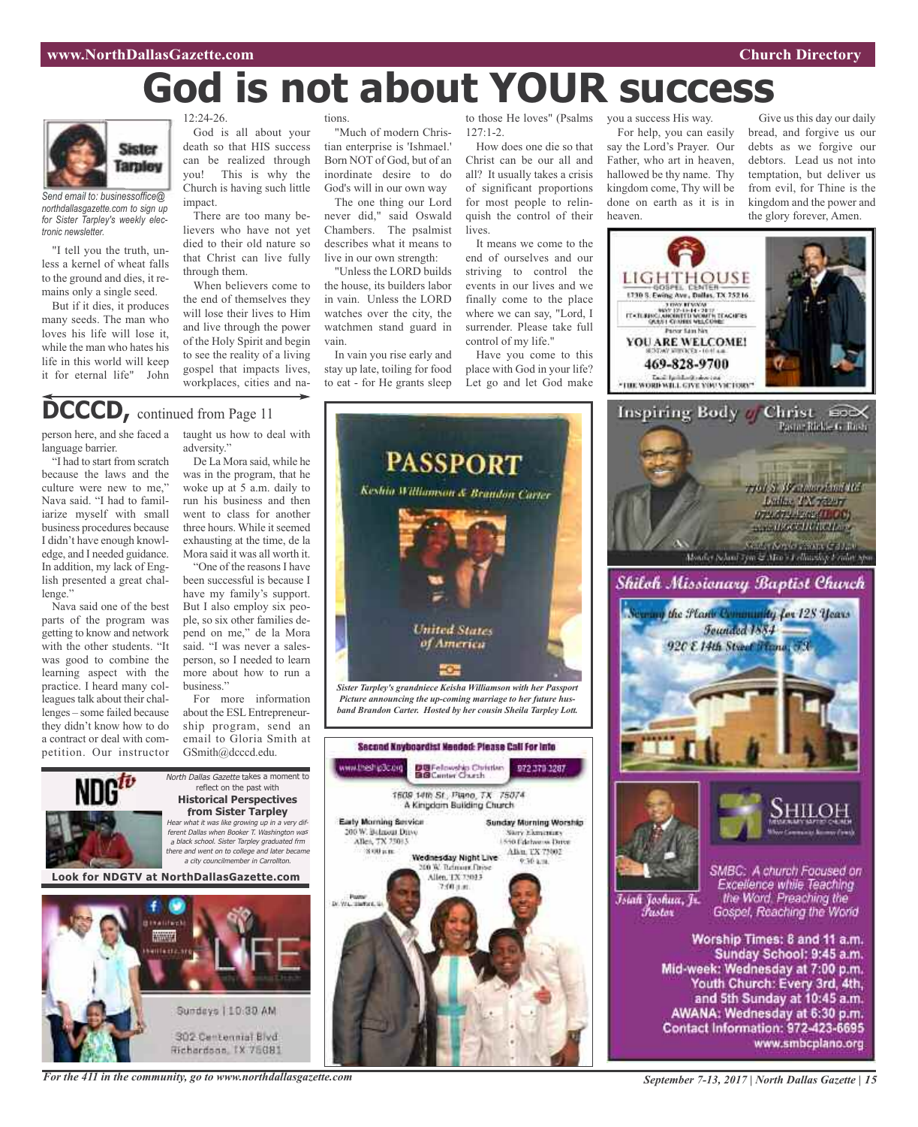# **God is not about YOUR success**



*Send email to: businessoffice@ northdallasgazette.com to sign up for Sister Tarpley's weekly electronic newsletter.*

"I tell you the truth, unless a kernel of wheat falls to the ground and dies, it remains only a single seed.

But if it dies, it produces many seeds. The man who loves his life will lose it, while the man who hates his life in this world will keep it for eternal life" John  $12:24-26$ 

God is all about your death so that HIS success can be realized through you! This is why the Church is having such little impact.

There are too many believers who have not yet died to their old nature so that Christ can live fully through them.

When believers come to the end of themselves they will lose their lives to Him and live through the power of the Holy Spirit and begin to see the reality of a living gospel that impacts lives, workplaces, cities and nations.

"Much of modern Christian enterprise is 'Ishmael.' Born NOT of God, but of an inordinate desire to do God's will in our own way

The one thing our Lord never did," said Oswald Chambers. The psalmist describes what it means to live in our own strength:

"Unless the LORD builds the house, its builders labor in vain. Unless the LORD watches over the city, the watchmen stand guard in vain.

In vain you rise early and stay up late, toiling for food to eat - for He grants sleep

127:1-2.

How does one die so that Christ can be our all and all? It usually takes a crisis of significant proportions for most people to relinquish the control of their lives.

It means we come to the end of ourselves and our striving to control the events in our lives and we finally come to the place where we can say, "Lord, I surrender. Please take full control of my life."

Have you come to this place with God in your life? Let go and let God make

to those He loves" (Psalms you a success His way.

For help, you can easily say the Lord's Prayer. Our Father, who art in heaven, hallowed be thy name. Thy kingdom come, Thy will be done on earth as it is in heaven.

Give us this day our daily bread, and forgive us our debts as we forgive our debtors. Lead us not into temptation, but deliver us from evil, for Thine is the kingdom and the power and the glory forever, Amen.





# DCCCD, continued from Page 11

person here, and she faced a language barrier.

"I had to start from scratch because the laws and the culture were new to me," Nava said. "I had to familiarize myself with small business procedures because I didn't have enough knowledge, and I needed guidance. In addition, my lack of English presented a great challenge."

Nava said one of the best parts of the program was getting to know and network with the other students. "It was good to combine the learning aspect with the practice. I heard many colleagues talk about their challenges – some failed because they didn't know how to do a contract or deal with competition. Our instructor taught us how to deal with adversity." De La Mora said, while he was in the program, that he

woke up at 5 a.m. daily to run his business and then went to class for another three hours. While it seemed exhausting at the time, de la Mora said it was all worth it.

"One of the reasons I have been successful is because I have my family's support. But I also employ six people, so six other families depend on me," de la Mora said. "I was never a salesperson, so I needed to learn more about how to run a business."

For more information about the ESL Entrepreneurship program, send an email to Gloria Smith at GSmith@dcccd.edu.



*For the 411 in the community, go to www.northdallasgazette.com*





www.smbcplano.org